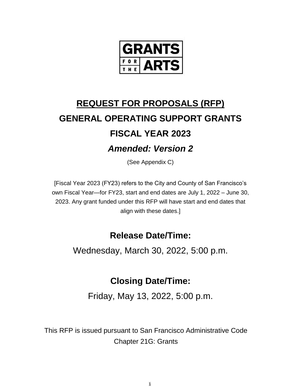

# **REQUEST FOR PROPOSALS (RFP) GENERAL OPERATING SUPPORT GRANTS FISCAL YEAR 2023** *Amended: Version 2*

(See Appendix C)

[Fiscal Year 2023 (FY23) refers to the City and County of San Francisco's own Fiscal Year—for FY23, start and end dates are July 1, 2022 – June 30, 2023. Any grant funded under this RFP will have start and end dates that align with these dates.]

## **Release Date/Time:**

Wednesday, March 30, 2022, 5:00 p.m.

## **Closing Date/Time:**

Friday, May 13, 2022, 5:00 p.m.

This RFP is issued pursuant to San Francisco Administrative Code Chapter 21G: Grants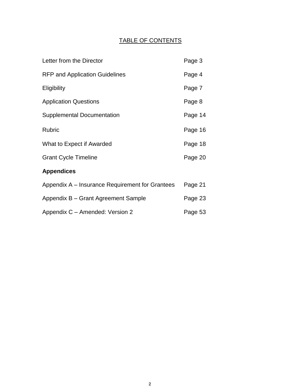### TABLE OF CONTENTS

| Letter from the Director                        | Page 3  |
|-------------------------------------------------|---------|
| <b>RFP and Application Guidelines</b>           | Page 4  |
| Eligibility                                     | Page 7  |
| <b>Application Questions</b>                    | Page 8  |
| <b>Supplemental Documentation</b>               | Page 14 |
| <b>Rubric</b>                                   | Page 16 |
| What to Expect if Awarded                       | Page 18 |
| <b>Grant Cycle Timeline</b>                     | Page 20 |
| <b>Appendices</b>                               |         |
| Appendix A – Insurance Requirement for Grantees | Page 21 |
| Appendix B - Grant Agreement Sample             | Page 23 |
| Appendix C - Amended: Version 2                 | Page 53 |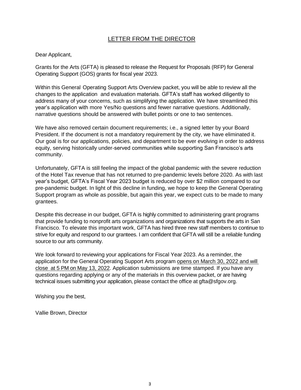### LETTER FROM THE DIRECTOR

#### Dear Applicant,

Grants for the Arts (GFTA) is pleased to release the Request for Proposals (RFP) for General Operating Support (GOS) grants for fiscal year 2023.

Within this General Operating Support Arts Overview packet, you will be able to review all the changes to the application and evaluation materials. GFTA's staff has worked diligently to address many of your concerns, such as simplifying the application. We have streamlined this year's application with more Yes/No questions and fewer narrative questions. Additionally, narrative questions should be answered with bullet points or one to two sentences.

We have also removed certain document requirements; i.e., a signed letter by your Board President. If the document is not a mandatory requirement by the city, we have eliminated it. Our goal is for our applications, policies, and department to be ever evolving in order to address equity, serving historically under-served communities while supporting San Francisco's arts community.

Unfortunately, GFTA is still feeling the impact of the global pandemic with the severe reduction of the Hotel Tax revenue that has not returned to pre-pandemic levels before 2020. As with last year's budget, GFTA's Fiscal Year 2023 budget is reduced by over \$2 million compared to our pre-pandemic budget. In light of this decline in funding, we hope to keep the General Operating Support program as whole as possible, but again this year, we expect cuts to be made to many grantees.

Despite this decrease in our budget, GFTA is highly committed to administering grant programs that provide funding to nonprofit arts organizations and organizations that supports the arts in San Francisco. To elevate this important work, GFTA has hired three new staff members to continue to strive for equity and respond to our grantees. I am confident that GFTA will still be a reliable funding source to our arts community.

We look forward to reviewing your applications for Fiscal Year 2023. As a reminder, the application for the General Operating Support Arts program opens on March 30, 2022 and will close at 5 PM on May 13, 2022. Application submissions are time stamped. If you have any questions regarding applying or any of the materials in this overview packet, or are having technical issues submitting your application, please contact the office at gfta@sfgov.org.

Wishing you the best,

Vallie Brown, Director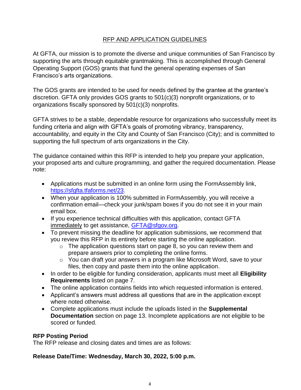### RFP AND APPLICATION GUIDELINES

At GFTA, our mission is to promote the diverse and unique communities of San Francisco by supporting the arts through equitable grantmaking. This is accomplished through General Operating Support (GOS) grants that fund the general operating expenses of San Francisco's arts organizations.

The GOS grants are intended to be used for needs defined by the grantee at the grantee's discretion. GFTA only provides GOS grants to 501(c)(3) nonprofit organizations, or to organizations fiscally sponsored by 501(c)(3) nonprofits.

GFTA strives to be a stable, dependable resource for organizations who successfully meet its funding criteria and align with GFTA's goals of promoting vibrancy, transparency, accountability, and equity in the City and County of San Francisco (City); and is committed to supporting the full spectrum of arts organizations in the City.

The guidance contained within this RFP is intended to help you prepare your application, your proposed arts and culture programming, and gather the required documentation. Please note:

- Applications must be submitted in an online form using the FormAssembly link, [https://sfgfta.tfaforms.net/23.](https://sfgfta.tfaforms.net/23)
- When your application is 100% submitted in FormAssembly, you will receive a confirmation email—check your junk/spam boxes if you do not see it in your main email box.
- If you experience technical difficulties with this application, contact GFTA immediately to get assistance, [GFTA@sfgov.org.](mailto:GFTA@sfgov.org)
- To prevent missing the deadline for application submissions, we recommend that you review this RFP in its entirety before starting the online application.
	- $\circ$  The application questions start on page 8, so you can review them and prepare answers prior to completing the online forms.
	- o You can draft your answers in a program like Microsoft Word, save to your files, then copy and paste them into the online application.
- In order to be eligible for funding consideration, applicants must meet all **Eligibility Requirements** listed on page 7.
- The online application contains fields into which requested information is entered.
- Applicant's answers must address all questions that are in the application except where noted otherwise.
- Complete applications must include the uploads listed in the **Supplemental Documentation** section on page 13. Incomplete applications are not eligible to be scored or funded.

### **RFP Posting Period**

The RFP release and closing dates and times are as follows:

### **Release Date/Time: Wednesday, March 30, 2022, 5:00 p.m.**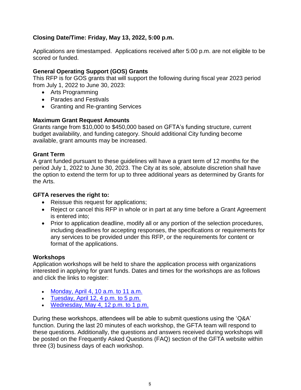### **Closing Date/Time: Friday, May 13, 2022, 5:00 p.m.**

Applications are timestamped. Applications received after 5:00 p.m. are not eligible to be scored or funded.

### **General Operating Support (GOS) Grants**

This RFP is for GOS grants that will support the following during fiscal year 2023 period from July 1, 2022 to June 30, 2023:

- Arts Programming
- Parades and Festivals
- Granting and Re-granting Services

### **Maximum Grant Request Amounts**

Grants range from \$10,000 to \$450,000 based on GFTA's funding structure, current budget availability, and funding category. Should additional City funding become available, grant amounts may be increased.

### **Grant Term**

A grant funded pursuant to these guidelines will have a grant term of 12 months for the period July 1, 2022 to June 30, 2023. The City at its sole, absolute discretion shall have the option to extend the term for up to three additional years as determined by Grants for the Arts.

### **GFTA reserves the right to:**

- Reissue this request for applications;
- Reject or cancel this RFP in whole or in part at any time before a Grant Agreement is entered into;
- Prior to application deadline, modify all or any portion of the selection procedures, including deadlines for accepting responses, the specifications or requirements for any services to be provided under this RFP, or the requirements for content or format of the applications.

### **Workshops**

Application workshops will be held to share the application process with organizations interested in applying for grant funds. Dates and times for the workshops are as follows and click the links to register:

- [Monday, April 4, 10 a.m. to 11 a.m.](https://us02web.zoom.us/webinar/register/WN_i0dtJMxFR9uICsslew5SvA)
- [Tuesday, April 12, 4 p.m. to 5 p.m.](https://us02web.zoom.us/webinar/register/WN_bbKFJflyThWSucG-LF2z5w)
- [Wednesday, May 4, 12 p.m. to 1 p.m.](https://us02web.zoom.us/webinar/register/WN_CvNK3WTLQDS3P4qFr8d9FQ)

During these workshops, attendees will be able to submit questions using the 'Q&A' function. During the last 20 minutes of each workshop, the GFTA team will respond to these questions. Additionally, the questions and answers received during workshops will be posted on the Frequently Asked Questions (FAQ) section of the GFTA website within three (3) business days of each workshop.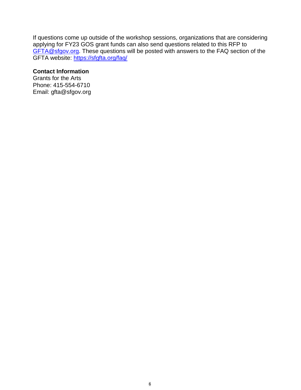If questions come up outside of the workshop sessions, organizations that are considering applying for FY23 GOS grant funds can also send questions related to this RFP to [GFTA@sfgov.org.](mailto:GFTA@sfgov.org) These questions will be posted with answers to the FAQ section of the GFTA website:<https://sfgfta.org/faq/>

### **Contact Information**

Grants for the Arts Phone: 415-554-6710 Email: gfta@sfgov.org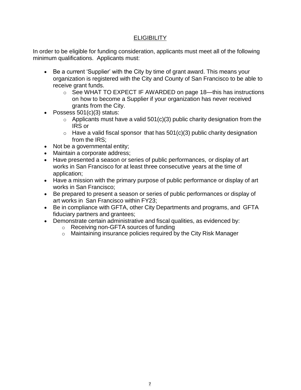### **ELIGIBILITY**

In order to be eligible for funding consideration, applicants must meet all of the following minimum qualifications. Applicants must:

- Be a current 'Supplier' with the City by time of grant award. This means your organization is registered with the City and County of San Francisco to be able to receive grant funds.
	- o See WHAT TO EXPECT IF AWARDED on page 18—this has instructions on how to become a Supplier if your organization has never received grants from the City.
- Possess 501(c)(3) status:
	- $\circ$  Applicants must have a valid 501(c)(3) public charity designation from the IRS or
	- $\circ$  Have a valid fiscal sponsor that has 501(c)(3) public charity designation from the IRS;
- Not be a governmental entity;
- Maintain a corporate address;
- Have presented a season or series of public performances, or display of art works in San Francisco for at least three consecutive years at the time of application;
- Have a mission with the primary purpose of public performance or display of art works in San Francisco;
- Be prepared to present a season or series of public performances or display of art works in San Francisco within FY23;
- Be in compliance with GFTA, other City Departments and programs, and GFTA fiduciary partners and grantees;
- Demonstrate certain administrative and fiscal qualities, as evidenced by:
	- o Receiving non-GFTA sources of funding
	- o Maintaining insurance policies required by the City Risk Manager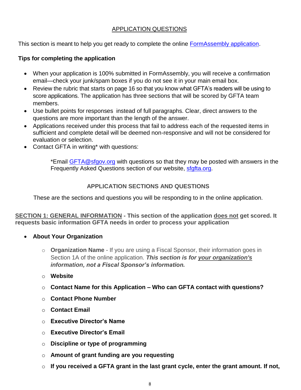### APPLICATION QUESTIONS

This section is meant to help you get ready to complete the online [FormAssembly application.](https://sfgfta.tfaforms.net/23)

### **Tips for completing the application**

- When your application is 100% submitted in FormAssembly, you will receive a confirmation email—check your junk/spam boxes if you do not see it in your main email box.
- Review the rubric that starts on page 16 so that you know what GFTA's readers will be using to score applications. The application has three sections that will be scored by GFTA team members.
- Use bullet points for responses instead of full paragraphs. Clear, direct answers to the questions are more important than the length of the answer.
- Applications received under this process that fail to address each of the requested items in sufficient and complete detail will be deemed non-responsive and will not be considered for evaluation or selection.
- Contact GFTA in writing\* with questions:

\*Email [GFTA@sfgov.org](mailto:GFTA@sfgov.org) with questions so that they may be posted with answers in the Frequently Asked Questions section of our website, [sfgfta.org.](file://///GSA-SVR1/Data/GFTA/GFTA/Grant%20Programs/Contract%20Process/22-23/Application%20-%20Development,%20Drafts,%20Templates/FY23%20GOS%20-%20Proposed%20Application%20Template/RFP/sfgfta.org)

### **APPLICATION SECTIONS AND QUESTIONS**

These are the sections and questions you will be responding to in the online application.

**SECTION 1: GENERAL INFORMATION - This section of the application does not get scored. It requests basic information GFTA needs in order to process your application**

- **About Your Organization**
	- o **Organization Name** If you are using a Fiscal Sponsor, their information goes in Section 1A of the online application. *This section is for your organization's information, not a Fiscal Sponsor's information.*
	- o **Website**
	- o **Contact Name for this Application – Who can GFTA contact with questions?**
	- o **Contact Phone Number**
	- o **Contact Email**
	- o **Executive Director's Name**
	- o **Executive Director's Email**
	- o **Discipline or type of programming**
	- o **Amount of grant funding are you requesting**
	- o **If you received a GFTA grant in the last grant cycle, enter the grant amount. If not,**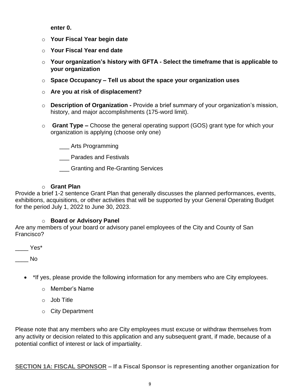**enter 0.**

- o **Your Fiscal Year begin date**
- o **Your Fiscal Year end date**
- o **Your organization's history with GFTA - Select the timeframe that is applicable to your organization**
- o **Space Occupancy – Tell us about the space your organization uses**
- o **Are you at risk of displacement?**
- o **Description of Organization -** Provide a brief summary of your organization's mission, history, and major accomplishments (175-word limit).
- o **Grant Type –** Choose the general operating support (GOS) grant type for which your organization is applying (choose only one)
	- \_\_\_ Arts Programming
	- \_\_\_ Parades and Festivals
	- \_\_\_ Granting and Re-Granting Services

### o **Grant Plan**

Provide a brief 1-2 sentence Grant Plan that generally discusses the planned performances, events, exhibitions, acquisitions, or other activities that will be supported by your General Operating Budget for the period July 1, 2022 to June 30, 2023.

### o **Board or Advisory Panel**

Are any members of your board or advisory panel employees of the City and County of San Francisco?

\_\_\_\_ Yes\*

 $\blacksquare$ 

- \*If yes, please provide the following information for any members who are City employees.
	- o Member's Name
	- o Job Title
	- o City Department

Please note that any members who are City employees must excuse or withdraw themselves from any activity or decision related to this application and any subsequent grant, if made, because of a potential conflict of interest or lack of impartiality.

**SECTION 1A: FISCAL SPONSOR – If a Fiscal Sponsor is representing another organization for**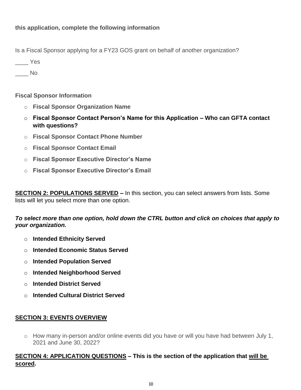Is a Fiscal Sponsor applying for a FY23 GOS grant on behalf of another organization?

\_\_\_\_ Yes

 $\overline{\phantom{a}}$  No

**Fiscal Sponsor Information**

- o **Fiscal Sponsor Organization Name**
- o **Fiscal Sponsor Contact Person's Name for this Application – Who can GFTA contact with questions?**
- o **Fiscal Sponsor Contact Phone Number**
- o **Fiscal Sponsor Contact Email**
- o **Fiscal Sponsor Executive Director's Name**
- o **Fiscal Sponsor Executive Director's Email**

**SECTION 2: POPULATIONS SERVED –** In this section, you can select answers from lists. Some lists will let you select more than one option.

### *To select more than one option, hold down the CTRL button and click on choices that apply to your organization.*

- o **Intended Ethnicity Served**
- o **Intended Economic Status Served**
- o **Intended Population Served**
- o **Intended Neighborhood Served**
- o **Intended District Served**
- o **Intended Cultural District Served**

### **SECTION 3: EVENTS OVERVIEW**

o How many in-person and/or online events did you have or will you have had between July 1, 2021 and June 30, 2022?

### **SECTION 4: APPLICATION QUESTIONS – This is the section of the application that will be scored.**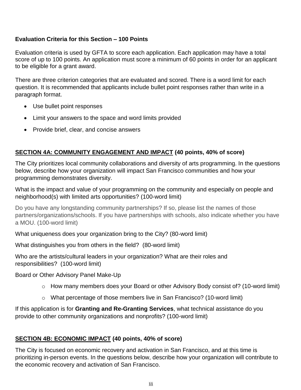### **Evaluation Criteria for this Section – 100 Points**

Evaluation criteria is used by GFTA to score each application. Each application may have a total score of up to 100 points. An application must score a minimum of 60 points in order for an applicant to be eligible for a grant award.

There are three criterion categories that are evaluated and scored. There is a word limit for each question. It is recommended that applicants include bullet point responses rather than write in a paragraph format.

- Use bullet point responses
- Limit your answers to the space and word limits provided
- Provide brief, clear, and concise answers

### **SECTION 4A: COMMUNITY ENGAGEMENT AND IMPACT (40 points, 40% of score)**

The City prioritizes local community collaborations and diversity of arts programming. In the questions below, describe how your organization will impact San Francisco communities and how your programming demonstrates diversity.

What is the impact and value of your programming on the community and especially on people and neighborhood(s) with limited arts opportunities? (100-word limit)

Do you have any longstanding community partnerships? If so, please list the names of those partners/organizations/schools. If you have partnerships with schools, also indicate whether you have a MOU. (100-word limit)

What uniqueness does your organization bring to the City? (80-word limit)

What distinguishes you from others in the field? (80-word limit)

Who are the artists/cultural leaders in your organization? What are their roles and responsibilities? (100-word limit)

Board or Other Advisory Panel Make-Up

- o How many members does your Board or other Advisory Body consist of? (10-word limit)
- o What percentage of those members live in San Francisco? (10-word limit)

If this application is for **Granting and Re-Granting Services**, what technical assistance do you provide to other community organizations and nonprofits? (100-word limit)

### **SECTION 4B: ECONOMIC IMPACT (40 points, 40% of score)**

The City is focused on economic recovery and activation in San Francisco, and at this time is prioritizing in-person events. In the questions below, describe how your organization will contribute to the economic recovery and activation of San Francisco.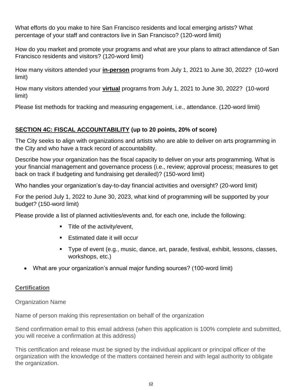What efforts do you make to hire San Francisco residents and local emerging artists? What percentage of your staff and contractors live in San Francisco? (120-word limit)

How do you market and promote your programs and what are your plans to attract attendance of San Francisco residents and visitors? (120-word limit)

How many visitors attended your **in-person** programs from July 1, 2021 to June 30, 2022? (10-word limit)

How many visitors attended your **virtual** programs from July 1, 2021 to June 30, 2022? (10-word limit)

Please list methods for tracking and measuring engagement, i.e., attendance. (120-word limit)

### **SECTION 4C: FISCAL ACCOUNTABILITY (up to 20 points, 20% of score)**

The City seeks to align with organizations and artists who are able to deliver on arts programming in the City and who have a track record of accountability.

Describe how your organization has the fiscal capacity to deliver on your arts programming. What is your financial management and governance process (i.e., review; approval process; measures to get back on track if budgeting and fundraising get derailed)? (150-word limit)

Who handles your organization's day-to-day financial activities and oversight? (20-word limit)

For the period July 1, 2022 to June 30, 2023, what kind of programming will be supported by your budget? (150-word limit)

Please provide a list of planned activities/events and, for each one, include the following:

- **Title of the activity/event,**
- Estimated date it will occur
- Type of event (e.g., music, dance, art, parade, festival, exhibit, lessons, classes, workshops, etc.)
- What are your organization's annual major funding sources? (100-word limit)

### **Certification**

Organization Name

Name of person making this representation on behalf of the organization

Send confirmation email to this email address (when this application is 100% complete and submitted, you will receive a confirmation at this address)

This certification and release must be signed by the individual applicant or principal officer of the organization with the knowledge of the matters contained herein and with legal authority to obligate the organization.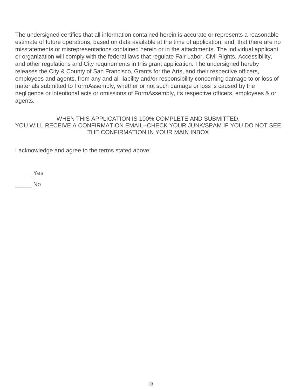The undersigned certifies that all information contained herein is accurate or represents a reasonable estimate of future operations, based on data available at the time of application; and, that there are no misstatements or misrepresentations contained herein or in the attachments. The individual applicant or organization will comply with the federal laws that regulate Fair Labor, Civil Rights, Accessibility, and other regulations and City requirements in this grant application. The undersigned hereby releases the City & County of San Francisco, Grants for the Arts, and their respective officers, employees and agents, from any and all liability and/or responsibility concerning damage to or loss of materials submitted to FormAssembly, whether or not such damage or loss is caused by the negligence or intentional acts or omissions of FormAssembly, its respective officers, employees & or agents.

### WHEN THIS APPLICATION IS 100% COMPLETE AND SUBMITTED, YOU WILL RECEIVE A CONFIRMATION EMAIL--CHECK YOUR JUNK/SPAM IF YOU DO NOT SEE THE CONFIRMATION IN YOUR MAIN INBOX

I acknowledge and agree to the terms stated above:

\_\_\_\_\_ Yes

\_\_\_\_\_ No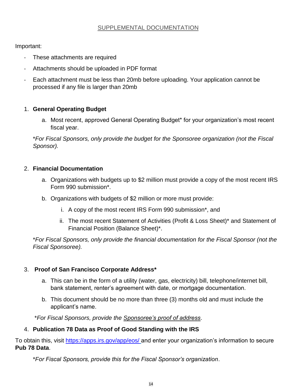### SUPPLEMENTAL DOCUMENTATION

Important:

- These attachments are required
- Attachments should be uploaded in PDF format
- Each attachment must be less than 20mb before uploading. Your application cannot be processed if any file is larger than 20mb

### 1. **General Operating Budget**

a. Most recent, approved General Operating Budget\* for your organization's most recent fiscal year.

\**For Fiscal Sponsors, only provide the budget for the Sponsoree organization (not the Fiscal Sponsor).*

### 2. **Financial Documentation**

- a. Organizations with budgets up to \$2 million must provide a copy of the most recent IRS Form 990 submission\*.
- b. Organizations with budgets of \$2 million or more must provide:
	- i. A copy of the most recent IRS Form 990 submission\*, and
	- ii. The most recent Statement of Activities (Profit & Loss Sheet)\* and Statement of Financial Position (Balance Sheet)\*.

\**For Fiscal Sponsors, only provide the financial documentation for the Fiscal Sponsor (not the Fiscal Sponsoree).*

### 3. **Proof of San Francisco Corporate Address\***

- a. This can be in the form of a utility (water, gas, electricity) bill, telephone/internet bill, bank statement, renter's agreement with date, or mortgage documentation.
- b. This document should be no more than three (3) months old and must include the applicant's name.

\**For Fiscal Sponsors, provide the Sponsoree's proof of address*.

### 4. **Publication 78 Data as Proof of Good Standing with the IRS**

To obtain this, visit<https://apps.irs.gov/app/eos/> and enter your organization's information to secure **Pub 78 Data**.

\**For Fiscal Sponsors, provide this for the Fiscal Sponsor's organization*.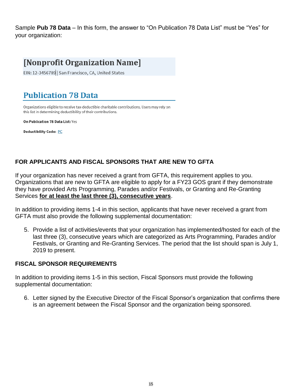Sample **Pub 78 Data** – In this form, the answer to "On Publication 78 Data List" must be "Yes" for your organization:

## [Nonprofit Organization Name]

EIN: 12-3456789 | San Francisco, CA, United States

## **Publication 78 Data**

Organizations eligible to receive tax-deductible charitable contributions. Users may rely on this list in determining deductibility of their contributions.

On Publication 78 Data List: Yes

**Deductibility Code: PC** 

### **FOR APPLICANTS AND FISCAL SPONSORS THAT ARE NEW TO GFTA**

If your organization has never received a grant from GFTA, this requirement applies to you. Organizations that are new to GFTA are eligible to apply for a FY23 GOS grant if they demonstrate they have provided Arts Programming, Parades and/or Festivals, or Granting and Re-Granting Services **for at least the last three (3), consecutive years**.

In addition to providing items 1-4 in this section, applicants that have never received a grant from GFTA must also provide the following supplemental documentation:

5. Provide a list of activities/events that your organization has implemented/hosted for each of the last three (3), consecutive years which are categorized as Arts Programming, Parades and/or Festivals, or Granting and Re-Granting Services. The period that the list should span is July 1, 2019 to present.

### **FISCAL SPONSOR REQUIREMENTS**

In addition to providing items 1-5 in this section, Fiscal Sponsors must provide the following supplemental documentation:

6. Letter signed by the Executive Director of the Fiscal Sponsor's organization that confirms there is an agreement between the Fiscal Sponsor and the organization being sponsored.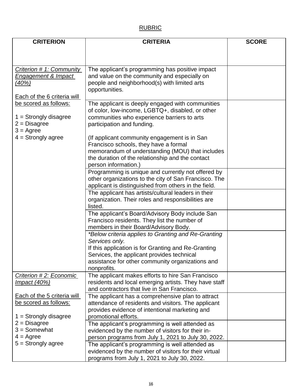## RUBRIC

| <b>CRITERION</b>                   | <b>SCORE</b>                                          |  |
|------------------------------------|-------------------------------------------------------|--|
|                                    |                                                       |  |
|                                    |                                                       |  |
|                                    |                                                       |  |
| Criterion # 1: Community           | The applicant's programming has positive impact       |  |
| <b>Engagement &amp; Impact</b>     | and value on the community and especially on          |  |
| <u>(40%)</u>                       | people and neighborhood(s) with limited arts          |  |
|                                    | opportunities.                                        |  |
| <b>Each of the 6 criteria will</b> |                                                       |  |
| be scored as follows:              | The applicant is deeply engaged with communities      |  |
|                                    | of color, low-income, LGBTQ+, disabled, or other      |  |
| $1 =$ Strongly disagree            | communities who experience barriers to arts           |  |
| $2 = Disagree$                     | participation and funding.                            |  |
| $3 = \text{Agree}$                 |                                                       |  |
| $4 =$ Strongly agree               | (If applicant community engagement is in San          |  |
|                                    | Francisco schools, they have a formal                 |  |
|                                    | memorandum of understanding (MOU) that includes       |  |
|                                    | the duration of the relationship and the contact      |  |
|                                    | person information.)                                  |  |
|                                    | Programming is unique and currently not offered by    |  |
|                                    | other organizations to the city of San Francisco. The |  |
|                                    | applicant is distinguished from others in the field.  |  |
|                                    | The applicant has artists/cultural leaders in their   |  |
|                                    | organization. Their roles and responsibilities are    |  |
|                                    | listed.                                               |  |
|                                    | The applicant's Board/Advisory Body include San       |  |
|                                    | Francisco residents. They list the number of          |  |
|                                    | members in their Board/Advisory Body.                 |  |
|                                    | *Below criteria applies to Granting and Re-Granting   |  |
|                                    | Services only.                                        |  |
|                                    | If this application is for Granting and Re-Granting   |  |
|                                    | Services, the applicant provides technical            |  |
|                                    | assistance for other community organizations and      |  |
|                                    | nonprofits.                                           |  |
| Criterion #2: Economic             | The applicant makes efforts to hire San Francisco     |  |
| Impact $(40%)$                     | residents and local emerging artists. They have staff |  |
|                                    | and contractors that live in San Francisco.           |  |
| Each of the 5 criteria will        | The applicant has a comprehensive plan to attract     |  |
| be scored as follows:              | attendance of residents and visitors. The applicant   |  |
|                                    | provides evidence of intentional marketing and        |  |
| $1 =$ Strongly disagree            | promotional efforts.                                  |  |
| $2 = Disagree$                     | The applicant's programming is well attended as       |  |
| $3 =$ Somewhat                     | evidenced by the number of visitors for their in-     |  |
| $4 = \text{Agree}$                 | person programs from July 1, 2021 to July 30, 2022.   |  |
| $5 =$ Strongly agree               | The applicant's programming is well attended as       |  |
|                                    | evidenced by the number of visitors for their virtual |  |
|                                    |                                                       |  |
|                                    | programs from July 1, 2021 to July 30, 2022.          |  |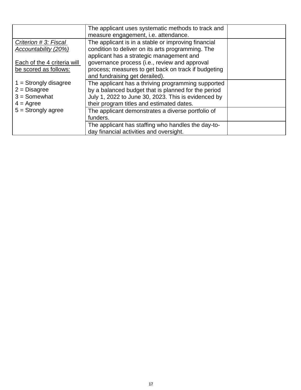|                                                                                   | The applicant uses systematic methods to track and<br>measure engagement, i.e. attendance.                                                                                                                    |  |
|-----------------------------------------------------------------------------------|---------------------------------------------------------------------------------------------------------------------------------------------------------------------------------------------------------------|--|
| Criterion # 3: Fiscal<br>Accountability (20%)                                     | The applicant is in a stable or improving financial<br>condition to deliver on its arts programming. The<br>applicant has a strategic management and                                                          |  |
| Each of the 4 criteria will<br>be scored as follows:                              | governance process (i.e., review and approval<br>process; measures to get back on track if budgeting<br>and fundraising get derailed).                                                                        |  |
| $1 =$ Strongly disagree<br>$2 = Disagree$<br>$3 =$ Somewhat<br>$4 = \text{Agree}$ | The applicant has a thriving programming supported<br>by a balanced budget that is planned for the period<br>July 1, 2022 to June 30, 2023. This is evidenced by<br>their program titles and estimated dates. |  |
| $5 =$ Strongly agree                                                              | The applicant demonstrates a diverse portfolio of<br>funders.                                                                                                                                                 |  |
|                                                                                   | The applicant has staffing who handles the day-to-<br>day financial activities and oversight.                                                                                                                 |  |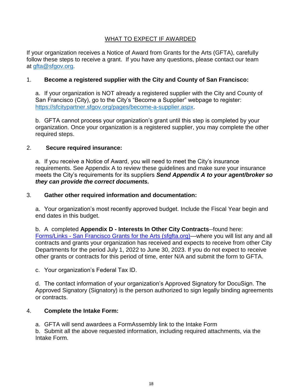### WHAT TO EXPECT IF AWARDED

If your organization receives a Notice of Award from Grants for the Arts (GFTA), carefully follow these steps to receive a grant. If you have any questions, please contact our team at [gfta@sfgov.org.](mailto:gfta@sfgov.org)

### 1. **Become a registered supplier with the City and County of San Francisco:**

a. If your organization is NOT already a registered supplier with the City and County of San Francisco (City), go to the City's "Become a Supplier" webpage to register: [https://sfcitypartner.sfgov.org/pages/become-a-supplier.aspx.](https://sfcitypartner.sfgov.org/pages/become-a-supplier.aspx)

b. GFTA cannot process your organization's grant until this step is completed by your organization. Once your organization is a registered supplier, you may complete the other required steps.

### 2. **Secure required insurance:**

a. If you receive a Notice of Award, you will need to meet the City's insurance requirements. See Appendix A to review these guidelines and make sure your insurance meets the City's requirements for its suppliers *Send Appendix A to your agent/broker so they can provide the correct documents.*

### 3. **Gather other required information and documentation:**

a. Your organization's most recently approved budget. Include the Fiscal Year begin and end dates in this budget.

b. A completed **Appendix D - Interests In Other City Contracts**--found here: Forms/Links - [San Francisco Grants for the Arts \(sfgfta.org\)—](https://sfgfta.org/for-grantees/forms/)where [you will list any and all](https://sfgfta.org/wp-content/uploads/2020/02/Appendix-D.docx)  [contracts and grants your organization has received and expects to receive from other City](https://sfgfta.org/wp-content/uploads/2020/02/Appendix-D.docx)  [Departments for the period July 1, 2022 to June 30, 2023. If you do not expect to receive](https://sfgfta.org/wp-content/uploads/2020/02/Appendix-D.docx)  [other grants or contracts for this period of time, enter N/A and submit the form to GFTA.](https://sfgfta.org/wp-content/uploads/2020/02/Appendix-D.docx) 

c. Your organization's Federal Tax ID.

d. The contact information of your organization's Approved Signatory for DocuSign. The Approved Signatory (Signatory) is the person authorized to sign legally binding agreements or contracts.

### 4. **Complete the Intake Form:**

a. GFTA will send awardees a FormAssembly link to the Intake Form

b. Submit all the above requested information, including required attachments, via the Intake Form.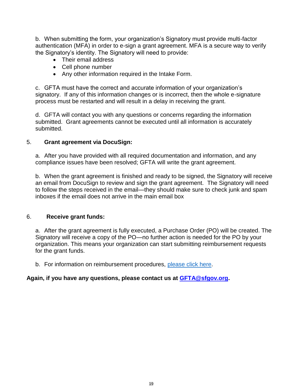b. When submitting the form, your organization's Signatory must provide multi-factor authentication (MFA) in order to e-sign a grant agreement. MFA is a secure way to verify the Signatory's identity. The Signatory will need to provide:

- Their email address
- Cell phone number
- Any other information required in the Intake Form.

c. GFTA must have the correct and accurate information of your organization's signatory. If any of this information changes or is incorrect, then the whole e-signature process must be restarted and will result in a delay in receiving the grant.

d. GFTA will contact you with any questions or concerns regarding the information submitted. Grant agreements cannot be executed until all information is accurately submitted.

### 5. **Grant agreement via DocuSign:**

a. After you have provided with all required documentation and information, and any compliance issues have been resolved; GFTA will write the grant agreement.

b. When the grant agreement is finished and ready to be signed, the Signatory will receive an email from DocuSign to review and sign the grant agreement. The Signatory will need to follow the steps received in the email—they should make sure to check junk and spam inboxes if the email does not arrive in the main email box

### 6. **Receive grant funds:**

a. After the grant agreement is fully executed, a Purchase Order (PO) will be created. The Signatory will receive a copy of the PO—no further action is needed for the PO by your organization. This means your organization can start submitting reimbursement requests for the grant funds.

b. For information on reimbursement procedures, [please click here.](https://sfgfta.org/for-grantees/reimbursement-guidelines/)

### **Again, if you have any questions, please contact us at [GFTA@sfgov.org.](mailto:GFTA@sfgov.org)**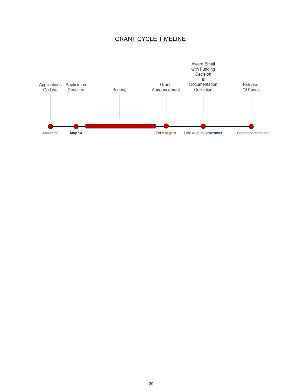### GRANT CYCLE TIMELINE

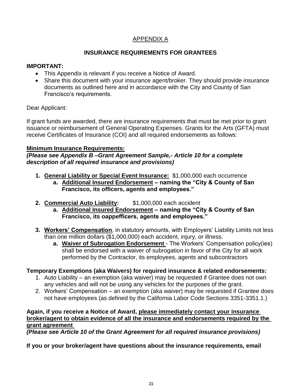### APPENDIX A

### **INSURANCE REQUIREMENTS FOR GRANTEES**

### **IMPORTANT:**

- This Appendix is relevant if you receive a Notice of Award.
- Share this document with your insurance agent/broker. They should provide insurance documents as outlined here and in accordance with the City and County of San Francisco's requirements.

### Dear Applicant:

If grant funds are awarded, there are insurance requirements that must be met prior to grant issuance or reimbursement of General Operating Expenses. Grants for the Arts (GFTA) must receive Certificates of Insurance (COI) and all required endorsements as follows:

### **Minimum Insurance Requirements:**

### *(Please see Appendix B –Grant Agreement Sample,- Article 10 for a complete description of all required insurance and provisions)*

- **1. General Liability or Special Event Insurance:** \$1,000,000 each occurrence
	- **a. Additional Insured Endorsement – naming the "City & County of San Francisco, its officers, agents and employees."**
- **2. Commercial Auto Liability:** \$1,000,000 each accident
	- **a. Additional Insured Endorsement – naming the "City & County of San Francisco, its oappefficers, agents and employees."**
- **3. Workers' Compensation**, in statutory amounts, with Employers' Liability Limits not less than one million dollars (\$1,000,000) each accident, injury, or illness.
	- **a. Waiver of Subrogation Endorsement**  The Workers' Compensation policy(ies) shall be endorsed with a waiver of subrogation in favor of the City for all work performed by the Contractor, its employees, agents and subcontractors

### **Temporary Exemptions (aka Waivers) for required insurance & related endorsements:**

- 1. Auto Liability an exemption (aka waiver) may be requested if Grantee does not own any vehicles and will not be using any vehicles for the purposes of the grant.
- 2. Workers' Compensation an exemption (aka waiver) may be requested if Grantee does not have employees (as defined by the California Labor Code Sections 3351-3351.1.)

### **Again, if you receive a Notice of Award, please immediately contact your insurance broker/agent to obtain evidence of all the insurance and endorsements required by the grant agreement**

*(Please see Article 10 of the Grant Agreement for all required insurance provisions)*

**If you or your broker/agent have questions about the insurance requirements, email**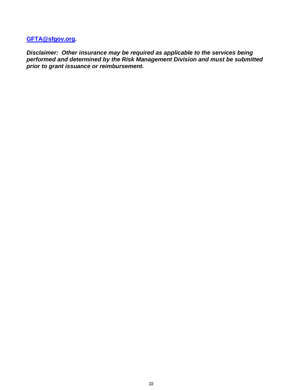**[GFTA@sfgov.org.](mailto:GFTA@sfgov.org)**

*Disclaimer: Other insurance may be required as applicable to the services being performed and determined by the Risk Management Division and must be submitted prior to grant issuance or reimbursement.*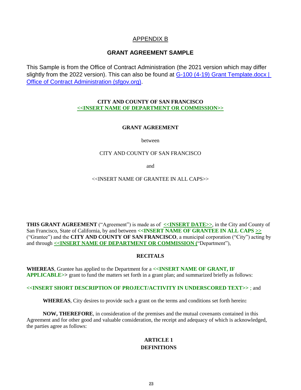### APPENDIX B

#### **GRANT AGREEMENT SAMPLE**

This Sample is from the Office of Contract Administration (the 2021 version which may differ slightly from the 2022 version). This can also be found at G-100 (4-19) Grant Template.docx | [Office of Contract Administration \(sfgov.org\).](https://sfgov.org/oca/G-100%20%284-19%29%20Grant%20Template.docx)

#### **CITY AND COUNTY OF SAN FRANCISCO <<INSERT NAME OF DEPARTMENT OR COMMISSION>>**

#### **GRANT AGREEMENT**

between

#### CITY AND COUNTY OF SAN FRANCISCO

and

#### <<INSERT NAME OF GRANTEE IN ALL CAPS>>

**THIS GRANT AGREEMENT** ("Agreement") is made as of **<<INSERT DATE>>**, in the City and County of San Francisco, State of California, by and between **<<INSERT NAME OF GRANTEE IN ALL CAPS >>** ("Grantee") and the **CITY AND COUNTY OF SAN FRANCISCO**, a municipal corporation ("City") acting by and through **<<INSERT NAME OF DEPARTMENT OR COMMISSION (**"Department"),

#### **RECITALS**

**WHEREAS**, Grantee has applied to the Department for a **<<INSERT NAME OF GRANT, IF APPLICABLE>>** grant to fund the matters set forth in a grant plan; and summarized briefly as follows:

#### **<<INSERT SHORT DESCRIPTION OF PROJECT/ACTIVITY IN UNDERSCORED TEXT>>** ; and

**WHEREAS**, City desires to provide such a grant on the terms and conditions set forth herein**:**

 **NOW, THEREFORE**, in consideration of the premises and the mutual covenants contained in this Agreement and for other good and valuable consideration, the receipt and adequacy of which is acknowledged, the parties agree as follows:

#### **ARTICLE 1 DEFINITIONS**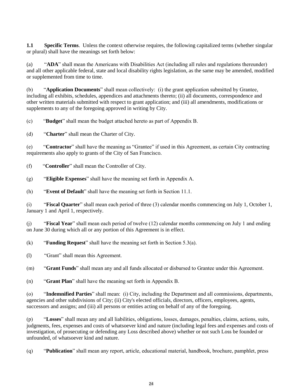**1.1 Specific Terms**. Unless the context otherwise requires, the following capitalized terms (whether singular or plural) shall have the meanings set forth below:

(a) "**ADA**" shall mean the Americans with Disabilities Act (including all rules and regulations thereunder) and all other applicable federal, state and local disability rights legislation, as the same may be amended, modified or supplemented from time to time.

(b) "**Application Documents**" shall mean collectively: (i) the grant application submitted by Grantee, including all exhibits, schedules, appendices and attachments thereto; (ii) all documents, correspondence and other written materials submitted with respect to grant application; and (iii) all amendments, modifications or supplements to any of the foregoing approved in writing by City.

(c) "**Budget**" shall mean the budget attached hereto as part of Appendix B.

(d) "**Charter**" shall mean the Charter of City.

(e) "**Contractor**" shall have the meaning as "Grantee" if used in this Agreement, as certain City contracting requirements also apply to grants of the City of San Francisco.

(f) "**Controller**" shall mean the Controller of City.

(g) "**Eligible Expenses**" shall have the meaning set forth in Appendix A.

(h) "**Event of Default**" shall have the meaning set forth in Section 11.1.

(i) "**Fiscal Quarter**" shall mean each period of three (3) calendar months commencing on July 1, October 1, January 1 and April 1, respectively.

(j) "**Fiscal Year**" shall mean each period of twelve (12) calendar months commencing on July 1 and ending on June 30 during which all or any portion of this Agreement is in effect.

(k) "**Funding Request**" shall have the meaning set forth in Section 5.3(a).

(l) "Grant" shall mean this Agreement.

(m) "**Grant Funds**" shall mean any and all funds allocated or disbursed to Grantee under this Agreement.

(n) "**Grant Plan**" shall have the meaning set forth in Appendix B.

(o) "**Indemnified Parties**" shall mean: (i) City, including the Department and all commissions, departments, agencies and other subdivisions of City; (ii) City's elected officials, directors, officers, employees, agents, successors and assigns; and (iii) all persons or entities acting on behalf of any of the foregoing.

(p) "**Losses**" shall mean any and all liabilities, obligations, losses, damages, penalties, claims, actions, suits, judgments, fees, expenses and costs of whatsoever kind and nature (including legal fees and expenses and costs of investigation, of prosecuting or defending any Loss described above) whether or not such Loss be founded or unfounded, of whatsoever kind and nature.

(q) "**Publication**" shall mean any report, article, educational material, handbook, brochure, pamphlet, press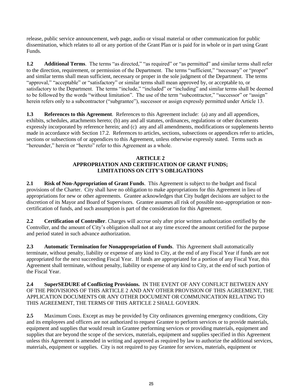release, public service announcement, web page, audio or visual material or other communication for public dissemination, which relates to all or any portion of the Grant Plan or is paid for in whole or in part using Grant Funds.

**1.2 Additional Terms**. The terms "as directed," "as required" or "as permitted" and similar terms shall refer to the direction, requirement, or permission of the Department. The terms "sufficient," "necessary" or "proper" and similar terms shall mean sufficient, necessary or proper in the sole judgment of the Department. The terms "approval," "acceptable" or "satisfactory" or similar terms shall mean approved by, or acceptable to, or satisfactory to the Department. The terms "include," "included" or "including" and similar terms shall be deemed to be followed by the words "without limitation". The use of the term "subcontractor," "successor" or "assign" herein refers only to a subcontractor ("subgrantee"), successor or assign expressly permitted under Article 13.

**1.3 References to this Agreement**. References to this Agreement include: (a) any and all appendices, exhibits, schedules, attachments hereto; (b) any and all statutes, ordinances, regulations or other documents expressly incorporated by reference herein; and (c) any and all amendments, modifications or supplements hereto made in accordance with Section 17.2. References to articles, sections, subsections or appendices refer to articles, sections or subsections of or appendices to this Agreement, unless otherwise expressly stated. Terms such as "hereunder," herein or "hereto" refer to this Agreement as a whole.

### **ARTICLE 2 APPROPRIATION AND CERTIFICATION OF GRANT FUNDS; LIMITATIONS ON CITY'S OBLIGATIONS**

**2.1 Risk of Non-Appropriation of Grant Funds**. This Agreement is subject to the budget and fiscal provisions of the Charter. City shall have no obligation to make appropriations for this Agreement in lieu of appropriations for new or other agreements. Grantee acknowledges that City budget decisions are subject to the discretion of its Mayor and Board of Supervisors. Grantee assumes all risk of possible non-appropriation or noncertification of funds, and such assumption is part of the consideration for this Agreement.

**2.2 Certification of Controller**. Charges will accrue only after prior written authorization certified by the Controller, and the amount of City's obligation shall not at any time exceed the amount certified for the purpose and period stated in such advance authorization.

**2.3 Automatic Termination for Nonappropriation of Funds**. This Agreement shall automatically terminate, without penalty, liability or expense of any kind to City, at the end of any Fiscal Year if funds are not appropriated for the next succeeding Fiscal Year. If funds are appropriated for a portion of any Fiscal Year, this Agreement shall terminate, without penalty, liability or expense of any kind to City, at the end of such portion of the Fiscal Year.

#### **2.4 SuperSEDURE of Conflicting Provisions.** IN THE EVENT OF ANY CONFLICT BETWEEN ANY OF THE PROVISIONS OF THIS ARTICLE 2 AND ANY OTHER PROVISION OF THIS AGREEMENT, THE APPLICATION DOCUMENTS OR ANY OTHER DOCUMENT OR COMMUNICATION RELATING TO THIS AGREEMENT, THE TERMS OF THIS ARTICLE 2 SHALL GOVERN.

**2.5** Maximum Costs. Except as may be provided by City ordinances governing emergency conditions, City and its employees and officers are not authorized to request Grantee to perform services or to provide materials, equipment and supplies that would result in Grantee performing services or providing materials, equipment and supplies that are beyond the scope of the services, materials, equipment and supplies specified in this Agreement unless this Agreement is amended in writing and approved as required by law to authorize the additional services, materials, equipment or supplies. City is not required to pay Grantee for services, materials, equipment or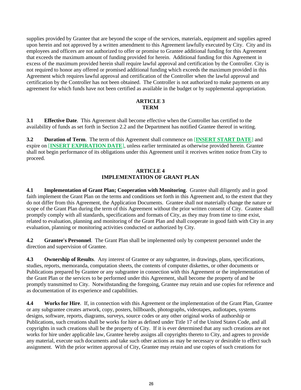supplies provided by Grantee that are beyond the scope of the services, materials, equipment and supplies agreed upon herein and not approved by a written amendment to this Agreement lawfully executed by City. City and its employees and officers are not authorized to offer or promise to Grantee additional funding for this Agreement that exceeds the maximum amount of funding provided for herein. Additional funding for this Agreement in excess of the maximum provided herein shall require lawful approval and certification by the Controller. City is not required to honor any offered or promised additional funding which exceeds the maximum provided in this Agreement which requires lawful approval and certification of the Controller when the lawful approval and certification by the Controller has not been obtained. The Controller is not authorized to make payments on any agreement for which funds have not been certified as available in the budget or by supplemental appropriation.

#### **ARTICLE 3 TERM**

**3.1 Effective Date**. This Agreement shall become effective when the Controller has certified to the availability of funds as set forth in Section 2.2 and the Department has notified Grantee thereof in writing.

**3.2 Duration of Term**. The term of this Agreement shall commence on [**INSERT START DATE**] and expire on [**INSERT EXPIRATION DATE**], unless earlier terminated as otherwise provided herein. Grantee shall not begin performance of its obligations under this Agreement until it receives written notice from City to proceed.

#### **ARTICLE 4 IMPLEMENTATION OF GRANT PLAN**

**4.1 Implementation of Grant Plan; Cooperation with Monitoring**. Grantee shall diligently and in good faith implement the Grant Plan on the terms and conditions set forth in this Agreement and, to the extent that they do not differ from this Agreement, the Application Documents. Grantee shall not materially change the nature or scope of the Grant Plan during the term of this Agreement without the prior written consent of City. Grantee shall promptly comply with all standards, specifications and formats of City, as they may from time to time exist, related to evaluation, planning and monitoring of the Grant Plan and shall cooperate in good faith with City in any evaluation, planning or monitoring activities conducted or authorized by City.

**4.2 Grantee's Personnel**. The Grant Plan shall be implemented only by competent personnel under the direction and supervision of Grantee.

**4.3 Ownership of Results**. Any interest of Grantee or any subgrantee, in drawings, plans, specifications, studies, reports, memoranda, computation sheets, the contents of computer diskettes, or other documents or Publications prepared by Grantee or any subgrantee in connection with this Agreement or the implementation of the Grant Plan or the services to be performed under this Agreement, shall become the property of and be promptly transmitted to City. Notwithstanding the foregoing, Grantee may retain and use copies for reference and as documentation of its experience and capabilities.

**4.4 Works for Hire**. If, in connection with this Agreement or the implementation of the Grant Plan, Grantee or any subgrantee creates artwork, copy, posters, billboards, photographs, videotapes, audiotapes, systems designs, software, reports, diagrams, surveys, source codes or any other original works of authorship or Publications, such creations shall be works for hire as defined under Title 17 of the United States Code, and all copyrights in such creations shall be the property of City. If it is ever determined that any such creations are not works for hire under applicable law, Grantee hereby assigns all copyrights thereto to City, and agrees to provide any material, execute such documents and take such other actions as may be necessary or desirable to effect such assignment. With the prior written approval of City, Grantee may retain and use copies of such creations for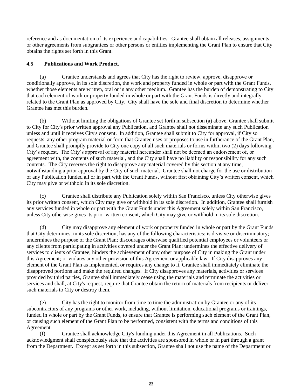reference and as documentation of its experience and capabilities. Grantee shall obtain all releases, assignments or other agreements from subgrantees or other persons or entities implementing the Grant Plan to ensure that City obtains the rights set forth in this Grant.

#### **4.5 Publications and Work Product.**

(a) Grantee understands and agrees that City has the right to review, approve, disapprove or conditionally approve, in its sole discretion, the work and property funded in whole or part with the Grant Funds, whether those elements are written, oral or in any other medium. Grantee has the burden of demonstrating to City that each element of work or property funded in whole or part with the Grant Funds is directly and integrally related to the Grant Plan as approved by City. City shall have the sole and final discretion to determine whether Grantee has met this burden.

(b) Without limiting the obligations of Grantee set forth in subsection (a) above, Grantee shall submit to City for City's prior written approval any Publication, and Grantee shall not disseminate any such Publication unless and until it receives City's consent. In addition, Grantee shall submit to City for approval, if City so requests, any other program material or form that Grantee uses or proposes to use in furtherance of the Grant Plan, and Grantee shall promptly provide to City one copy of all such materials or forms within two (2) days following City's request. The City's approval of any material hereunder shall not be deemed an endorsement of, or agreement with, the contents of such material, and the City shall have no liability or responsibility for any such contents. The City reserves the right to disapprove any material covered by this section at any time, notwithstanding a prior approval by the City of such material. Grantee shall not charge for the use or distribution of any Publication funded all or in part with the Grant Funds, without first obtaining City's written consent, which City may give or withhold in its sole discretion.

Grantee shall distribute any Publication solely within San Francisco, unless City otherwise gives its prior written consent, which City may give or withhold in its sole discretion. In addition, Grantee shall furnish any services funded in whole or part with the Grant Funds under this Agreement solely within San Francisco, unless City otherwise gives its prior written consent, which City may give or withhold in its sole discretion.

(d) City may disapprove any element of work or property funded in whole or part by the Grant Funds that City determines, in its sole discretion, has any of the following characteristics: is divisive or discriminatory; undermines the purpose of the Grant Plan; discourages otherwise qualified potential employees or volunteers or any clients from participating in activities covered under the Grant Plan; undermines the effective delivery of services to clients of Grantee; hinders the achievement of any other purpose of City in making the Grant under this Agreement; or violates any other provision of this Agreement or applicable law. If City disapproves any element of the Grant Plan as implemented, or requires any change to it, Grantee shall immediately eliminate the disapproved portions and make the required changes. If City disapproves any materials, activities or services provided by third parties, Grantee shall immediately cease using the materials and terminate the activities or services and shall, at City's request, require that Grantee obtain the return of materials from recipients or deliver such materials to City or destroy them.

(e) City has the right to monitor from time to time the administration by Grantee or any of its subcontractors of any programs or other work, including, without limitation, educational programs or trainings, funded in whole or part by the Grant Funds, to ensure that Grantee is performing such element of the Grant Plan, or causing such element of the Grant Plan to be performed, consistent with the terms and conditions of this Agreement.

(f) Grantee shall acknowledge City's funding under this Agreement in all Publications. Such acknowledgment shall conspicuously state that the activities are sponsored in whole or in part through a grant from the Department. Except as set forth in this subsection, Grantee shall not use the name of the Department or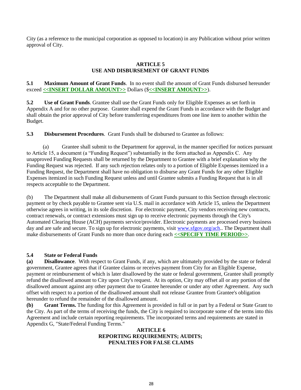City (as a reference to the municipal corporation as opposed to location) in any Publication without prior written approval of City.

#### **ARTICLE 5 USE AND DISBURSEMENT OF GRANT FUNDS**

**5.1 Maximum Amount of Grant Funds**. In no event shall the amount of Grant Funds disbursed hereunder exceed **<<INSERT DOLLAR AMOUNT>>** Dollars (\$**<<INSERT AMOUNT>>**).

**5.2 Use of Grant Funds**. Grantee shall use the Grant Funds only for Eligible Expenses as set forth in Appendix A and for no other purpose. Grantee shall expend the Grant Funds in accordance with the Budget and shall obtain the prior approval of City before transferring expenditures from one line item to another within the Budget.

**5.3 Disbursement Procedures**. Grant Funds shall be disbursed to Grantee as follows:

 (a) Grantee shall submit to the Department for approval, in the manner specified for notices pursuant to Article 15, a document (a "Funding Request") substantially in the form attached as Appendix C. Any unapproved Funding Requests shall be returned by the Department to Grantee with a brief explanation why the Funding Request was rejected. If any such rejection relates only to a portion of Eligible Expenses itemized in a Funding Request, the Department shall have no obligation to disburse any Grant Funds for any other Eligible Expenses itemized in such Funding Request unless and until Grantee submits a Funding Request that is in all respects acceptable to the Department.

(b) The Department shall make all disbursements of Grant Funds pursuant to this Section through electronic payment or by check payable to Grantee sent via U.S. mail in accordance with Article 15, unless the Department otherwise agrees in writing, in its sole discretion. For electronic payment, City vendors receiving new contracts, contract renewals, or contract extensions must sign up to receive electronic payments through the City's Automated Clearing House (ACH) payments service/provider. Electronic payments are processed every business day and are safe and secure. To sign up for electronic payments, visit www.sfgov.org/ach.. The Department shall make disbursements of Grant Funds no more than once during each **<<SPECIFY TIME PERIOD>>**.

#### **5.4 State or Federal Funds**

**(a) Disallowance**.With respect to Grant Funds, if any, which are ultimately provided by the state or federal government, Grantee agrees that if Grantee claims or receives payment from City for an Eligible Expense, payment or reimbursement of which is later disallowed by the state or federal government, Grantee shall promptly refund the disallowed amount to City upon City's request. At its option, City may offset all or any portion of the disallowed amount against any other payment due to Grantee hereunder or under any other Agreement. Any such offset with respect to a portion of the disallowed amount shall not release Grantee from Grantee's obligation hereunder to refund the remainder of the disallowed amount.

**(b) Grant Terms.** The funding for this Agreement is provided in full or in part by a Federal or State Grant to the City. As part of the terms of receiving the funds, the City is required to incorporate some of the terms into this Agreement and include certain reporting requirements. The incorporated terms and requirements are stated in Appendix G, "State/Federal Funding Terms."

#### **ARTICLE 6 REPORTING REQUIREMENTS; AUDITS; PENALTIES FOR FALSE CLAIMS**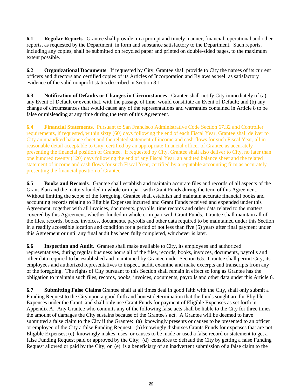**6.1 Regular Reports**. Grantee shall provide, in a prompt and timely manner, financial, operational and other reports, as requested by the Department, in form and substance satisfactory to the Department. Such reports, including any copies, shall be submitted on recycled paper and printed on double-sided pages, to the maximum extent possible.

**6.2 Organizational Documents**. If requested by City, Grantee shall provide to City the names of its current officers and directors and certified copies of its Articles of Incorporation and Bylaws as well as satisfactory evidence of the valid nonprofit status described in Section 8.1.

**6.3 Notification of Defaults or Changes in Circumstances**. Grantee shall notify City immediately of (a) any Event of Default or event that, with the passage of time, would constitute an Event of Default; and (b) any change of circumstances that would cause any of the representations and warranties contained in Article 8 to be false or misleading at any time during the term of this Agreement.

**6.4 Financial Statements**. Pursuant to San Francisco Administrative Code Section 67.32 and Controller requirements, if requested, within sixty (60) days following the end of each Fiscal Year, Grantee shall deliver to City an unaudited balance sheet and the related statement of income and cash flows for such Fiscal Year, all in reasonable detail acceptable to City, certified by an appropriate financial officer of Grantee as accurately presenting the financial position of Grantee. If requested by City, Grantee shall also deliver to City, no later than one hundred twenty (120) days following the end of any Fiscal Year, an audited balance sheet and the related statement of income and cash flows for such Fiscal Year, certified by a reputable accounting firm as accurately presenting the financial position of Grantee.

**6.5 Books and Records**. Grantee shall establish and maintain accurate files and records of all aspects of the Grant Plan and the matters funded in whole or in part with Grant Funds during the term of this Agreement. Without limiting the scope of the foregoing, Grantee shall establish and maintain accurate financial books and accounting records relating to Eligible Expenses incurred and Grant Funds received and expended under this Agreement, together with all invoices, documents, payrolls, time records and other data related to the matters covered by this Agreement, whether funded in whole or in part with Grant Funds. Grantee shall maintain all of the files, records, books, invoices, documents, payrolls and other data required to be maintained under this Section in a readily accessible location and condition for a period of not less than five (5) years after final payment under this Agreement or until any final audit has been fully completed, whichever is later.

**6.6 Inspection and Audit**. Grantee shall make available to City, its employees and authorized representatives, during regular business hours all of the files, records, books, invoices, documents, payrolls and other data required to be established and maintained by Grantee under Section 6.5. Grantee shall permit City, its employees and authorized representatives to inspect, audit, examine and make excerpts and transcripts from any of the foregoing. The rights of City pursuant to this Section shall remain in effect so long as Grantee has the obligation to maintain such files, records, books, invoices, documents, payrolls and other data under this Article 6.

**6.7 Submitting False Claims** Grantee shall at all times deal in good faith with the City, shall only submit a Funding Request to the City upon a good faith and honest determination that the funds sought are for Eligible Expenses under the Grant, and shall only use Grant Funds for payment of Eligible Expenses as set forth in Appendix A. Any Grantee who commits any of the following false acts shall be liable to the City for three times the amount of damages the City sustains because of the Grantee's act. A Grantee will be deemed to have submitted a false claim to the City if the Grantee: (a) knowingly presents or causes to be presented to an officer or employee of the City a false Funding Request; (b) knowingly disburses Grants Funds for expenses that are not Eligible Expenses; (c) knowingly makes, uses, or causes to be made or used a false record or statement to get a false Funding Request paid or approved by the City; (d) conspires to defraud the City by getting a false Funding Request allowed or paid by the City; or (e) is a beneficiary of an inadvertent submission of a false claim to the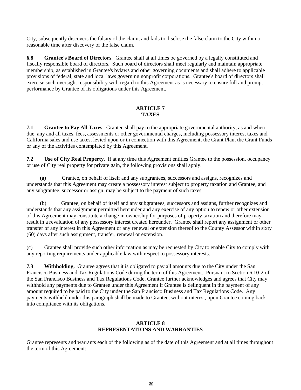City, subsequently discovers the falsity of the claim, and fails to disclose the false claim to the City within a reasonable time after discovery of the false claim.

**6.8 Grantee's Board of Directors**. Grantee shall at all times be governed by a legally constituted and fiscally responsible board of directors. Such board of directors shall meet regularly and maintain appropriate membership, as established in Grantee's bylaws and other governing documents and shall adhere to applicable provisions of federal, state and local laws governing nonprofit corporations. Grantee's board of directors shall exercise such oversight responsibility with regard to this Agreement as is necessary to ensure full and prompt performance by Grantee of its obligations under this Agreement.

#### **ARTICLE 7 TAXES**

**7.1 Grantee to Pay All Taxes**. Grantee shall pay to the appropriate governmental authority, as and when due, any and all taxes, fees, assessments or other governmental charges, including possessory interest taxes and California sales and use taxes, levied upon or in connection with this Agreement, the Grant Plan, the Grant Funds or any of the activities contemplated by this Agreement.

**7.2 Use of City Real Property**. If at any time this Agreement entitles Grantee to the possession, occupancy or use of City real property for private gain, the following provisions shall apply:

(a) Grantee, on behalf of itself and any subgrantees, successors and assigns, recognizes and understands that this Agreement may create a possessory interest subject to property taxation and Grantee, and any subgrantee, successor or assign, may be subject to the payment of such taxes.

(b) Grantee, on behalf of itself and any subgrantees, successors and assigns, further recognizes and understands that any assignment permitted hereunder and any exercise of any option to renew or other extension of this Agreement may constitute a change in ownership for purposes of property taxation and therefore may result in a revaluation of any possessory interest created hereunder. Grantee shall report any assignment or other transfer of any interest in this Agreement or any renewal or extension thereof to the County Assessor within sixty (60) days after such assignment, transfer, renewal or extension.

(c) Grantee shall provide such other information as may be requested by City to enable City to comply with any reporting requirements under applicable law with respect to possessory interests.

**7.3 Withholding.** Grantee agrees that it is obligated to pay all amounts due to the City under the San Francisco Business and Tax Regulations Code during the term of this Agreement. Pursuant to Section 6.10-2 of the San Francisco Business and Tax Regulations Code, Grantee further acknowledges and agrees that City may withhold any payments due to Grantee under this Agreement if Grantee is delinquent in the payment of any amount required to be paid to the City under the San Francisco Business and Tax Regulations Code. Any payments withheld under this paragraph shall be made to Grantee, without interest, upon Grantee coming back into compliance with its obligations.

#### **ARTICLE 8 REPRESENTATIONS AND WARRANTIES**

Grantee represents and warrants each of the following as of the date of this Agreement and at all times throughout the term of this Agreement: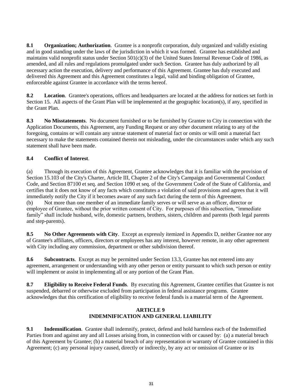**8.1 Organization; Authorization**. Grantee is a nonprofit corporation, duly organized and validly existing and in good standing under the laws of the jurisdiction in which it was formed. Grantee has established and maintains valid nonprofit status under Section 501(c)(3) of the United States Internal Revenue Code of 1986, as amended, and all rules and regulations promulgated under such Section. Grantee has duly authorized by all necessary action the execution, delivery and performance of this Agreement. Grantee has duly executed and delivered this Agreement and this Agreement constitutes a legal, valid and binding obligation of Grantee, enforceable against Grantee in accordance with the terms hereof.

**8.2 Location**. Grantee's operations, offices and headquarters are located at the address for notices set forth in Section 15. All aspects of the Grant Plan will be implemented at the geographic location(s), if any, specified in the Grant Plan.

**8.3 No Misstatements**. No document furnished or to be furnished by Grantee to City in connection with the Application Documents, this Agreement, any Funding Request or any other document relating to any of the foregoing, contains or will contain any untrue statement of material fact or omits or will omit a material fact necessary to make the statements contained therein not misleading, under the circumstances under which any such statement shall have been made.

#### **8.4 Conflict of Interest**.

(a) Through its execution of this Agreement, Grantee acknowledges that it is familiar with the provision of Section 15.103 of the City's Charter, Article III, Chapter 2 of the City's Campaign and Governmental Conduct Code, and Section 87100 et seq. and Section 1090 et seq. of the Government Code of the State of California, and certifies that it does not know of any facts which constitutes a violation of said provisions and agrees that it will immediately notify the City if it becomes aware of any such fact during the term of this Agreement. (b) Not more than one member of an immediate family serves or will serve as an officer, director or employee of Grantee, without the prior written consent of City. For purposes of this subsection, "immediate family" shall include husband, wife, domestic partners, brothers, sisters, children and parents (both legal parents and step-parents).

**8.5 No Other Agreements with City**. Except as expressly itemized in Appendix D, neither Grantee nor any of Grantee's affiliates, officers, directors or employees has any interest, however remote, in any other agreement with City including any commission, department or other subdivision thereof.

**8.6 Subcontracts**. Except as may be permitted under Section 13.3, Grantee has not entered into any agreement, arrangement or understanding with any other person or entity pursuant to which such person or entity will implement or assist in implementing all or any portion of the Grant Plan.

**8.7 Eligibility to Receive Federal Funds**. By executing this Agreement, Grantee certifies that Grantee is not suspended, debarred or otherwise excluded from participation in federal assistance programs. Grantee acknowledges that this certification of eligibility to receive federal funds is a material term of the Agreement.

#### **ARTICLE 9 INDEMNIFICATION AND GENERAL LIABILITY**

**9.1 Indemnification**. Grantee shall indemnify, protect, defend and hold harmless each of the Indemnified Parties from and against any and all Losses arising from, in connection with or caused by: (a) a material breach of this Agreement by Grantee; (b) a material breach of any representation or warranty of Grantee contained in this Agreement; (c) any personal injury caused, directly or indirectly, by any act or omission of Grantee or its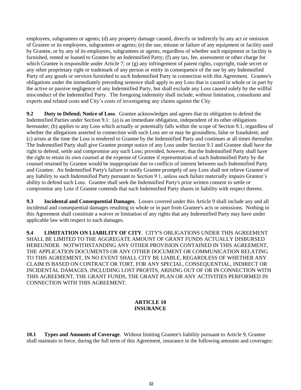employees, subgrantees or agents; (d) any property damage caused, directly or indirectly by any act or omission of Grantee or its employees, subgrantees or agents; (e) the use, misuse or failure of any equipment or facility used by Grantee, or by any of its employees, subgrantees or agents, regardless of whether such equipment or facility is furnished, rented or loaned to Grantee by an Indemnified Party; (f) any tax, fee, assessment or other charge for which Grantee is responsible under Article 7; or (g) any infringement of patent rights, copyright, trade secret or any other proprietary right or trademark of any person or entity in consequence of the use by any Indemnified Party of any goods or services furnished to such Indemnified Party in connection with this Agreement. Grantee's obligations under the immediately preceding sentence shall apply to any Loss that is caused in whole or in part by the active or passive negligence of any Indemnified Party, but shall exclude any Loss caused solely by the willful misconduct of the Indemnified Party. The foregoing indemnity shall include, without limitation, consultants and experts and related costs and City's costs of investigating any claims against the City.

**9.2 Duty to Defend; Notice of Loss**. Grantee acknowledges and agrees that its obligation to defend the Indemnified Parties under Section 9.1: (a) is an immediate obligation, independent of its other obligations hereunder; (b) applies to any Loss which actually or potentially falls within the scope of Section 9.1, regardless of whether the allegations asserted in connection with such Loss are or may be groundless, false or fraudulent; and (c) arises at the time the Loss is tendered to Grantee by the Indemnified Party and continues at all times thereafter. The Indemnified Party shall give Grantee prompt notice of any Loss under Section 9.1 and Grantee shall have the right to defend, settle and compromise any such Loss; provided, however, that the Indemnified Party shall have the right to retain its own counsel at the expense of Grantee if representation of such Indemnified Party by the counsel retained by Grantee would be inappropriate due to conflicts of interest between such Indemnified Party and Grantee. An Indemnified Party's failure to notify Grantee promptly of any Loss shall not relieve Grantee of any liability to such Indemnified Party pursuant to Section 9.1, unless such failure materially impairs Grantee's ability to defend such Loss. Grantee shall seek the Indemnified Party's prior written consent to settle or compromise any Loss if Grantee contends that such Indemnified Party shares in liability with respect thereto.

**9.3 Incidental and Consequential Damages**. Losses covered under this Article 9 shall include any and all incidental and consequential damages resulting in whole or in part from Grantee's acts or omissions. Nothing in this Agreement shall constitute a waiver or limitation of any rights that any Indemnified Party may have under applicable law with respect to such damages.

**9.4 LIMITATION ON LIABILITY OF CITY**. CITY'S OBLIGATIONS UNDER THIS AGREEMENT SHALL BE LIMITED TO THE AGGREGATE AMOUNT OF GRANT FUNDS ACTUALLY DISBURSED HEREUNDER. NOTWITHSTANDING ANY OTHER PROVISION CONTAINED IN THIS AGREEMENT, THE APPLICATION DOCUMENTS OR ANY OTHER DOCUMENT OR COMMUNICATION RELATING TO THIS AGREEMENT, IN NO EVENT SHALL CITY BE LIABLE, REGARDLESS OF WHETHER ANY CLAIM IS BASED ON CONTRACT OR TORT, FOR ANY SPECIAL, CONSEQUENTIAL, INDIRECT OR INCIDENTAL DAMAGES, INCLUDING LOST PROFITS, ARISING OUT OF OR IN CONNECTION WITH THIS AGREEMENT, THE GRANT FUNDS, THE GRANT PLAN OR ANY ACTIVITIES PERFORMED IN CONNECTION WITH THIS AGREEMENT.

#### **ARTICLE 10 INSURANCE**

**10.1 Types and Amounts of Coverage**. Without limiting Grantee's liability pursuant to Article 9, Grantee shall maintain in force, during the full term of this Agreement, insurance in the following amounts and coverages: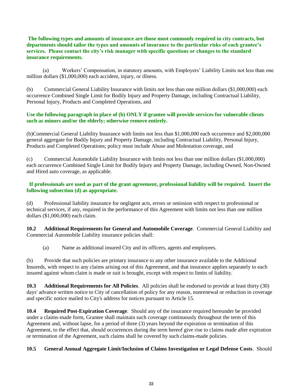**The following types and amounts of insurance are those most commonly required in city contracts, but departments should tailor the types and amounts of insurance to the particular risks of each grantee's services. Please contact the city's risk manager with specific questions or changes to the standard insurance requirements.**

 (a) Workers' Compensation, in statutory amounts, with Employers' Liability Limits not less than one million dollars (\$1,000,000) each accident, injury, or illness.

(b) Commercial General Liability Insurance with limits not less than one million dollars (\$1,000,000) each occurrence Combined Single Limit for Bodily Injury and Property Damage, including Contractual Liability, Personal Injury, Products and Completed Operations, and

#### **Use the following paragraph in place of (b) ONLY if grantee will provide services for vulnerable clients such as minors and/or the elderly; otherwise remove entirely.**

(b)Commercial General Liability Insurance with limits not less than \$1,000,000 each occurrence and \$2,000,000 general aggregate for Bodily Injury and Property Damage, including Contractual Liability, Personal Injury, Products and Completed Operations; policy must include Abuse and Molestation coverage, and

(c) Commercial Automobile Liability Insurance with limits not less than one million dollars (\$1,000,000) each occurrence Combined Single Limit for Bodily Injury and Property Damage, including Owned, Non-Owned and Hired auto coverage, as applicable.

#### **If professionals are used as part of the grant agreement, professional liability will be required. Insert the following subsection (d) as appropriate.**

(d) Professional liability insurance for negligent acts, errors or omission with respect to professional or technical services, if any, required in the performance of this Agreement with limits not less than one million dollars (\$1,000,000) each claim.

**10.2 Additional Requirements for General and Automobile Coverage**. Commercial General Liability and Commercial Automobile Liability insurance policies shall:

(a) Name as additional insured City and its officers, agents and employees.

(b) Provide that such policies are primary insurance to any other insurance available to the Additional Insureds, with respect to any claims arising out of this Agreement, and that insurance applies separately to each insured against whom claim is made or suit is brought, except with respect to limits of liability.

**10.3 Additional Requirements for All Policies**. All policies shall be endorsed to provide at least thirty (30) days' advance written notice to City of cancellation of policy for any reason, nonrenewal or reduction in coverage and specific notice mailed to City's address for notices pursuant to Article 15.

**10.4 Required Post-Expiration Coverage**. Should any of the insurance required hereunder be provided under a claims-made form, Grantee shall maintain such coverage continuously throughout the term of this Agreement and, without lapse, for a period of three (3) years beyond the expiration or termination of this Agreement, to the effect that, should occurrences during the term hereof give rise to claims made after expiration or termination of the Agreement, such claims shall be covered by such claims-made policies.

#### **10.5 General Annual Aggregate Limit/Inclusion of Claims Investigation or Legal Defense Costs**. Should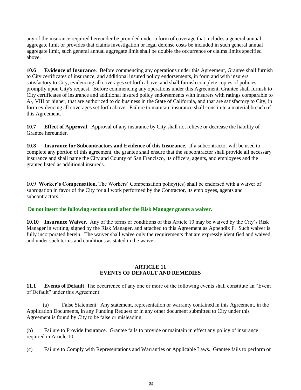any of the insurance required hereunder be provided under a form of coverage that includes a general annual aggregate limit or provides that claims investigation or legal defense costs be included in such general annual aggregate limit, such general annual aggregate limit shall be double the occurrence or claims limits specified above.

**10.6 Evidence of Insurance**. Before commencing any operations under this Agreement, Grantee shall furnish to City certificates of insurance, and additional insured policy endorsements, in form and with insurers satisfactory to City, evidencing all coverages set forth above, and shall furnish complete copies of policies promptly upon City's request. Before commencing any operations under this Agreement, Grantee shall furnish to City certificates of insurance and additional insured policy endorsements with insurers with ratings comparable to A-, VIII or higher, that are authorized to do business in the State of California, and that are satisfactory to City, in form evidencing all coverages set forth above. Failure to maintain insurance shall constitute a material breach of this Agreement.

**10.7 Effect of Approval**. Approval of any insurance by City shall not relieve or decrease the liability of Grantee hereunder.

**10.8 Insurance for Subcontractors and Evidence of this Insurance.** If a subcontractor will be used to complete any portion of this agreement, the grantee shall ensure that the subcontractor shall provide all necessary insurance and shall name the City and County of San Francisco, its officers, agents, and employees and the grantee listed as additional insureds.

**10.9 Worker's Compensation.** The Workers' Compensation policy(ies) shall be endorsed with a waiver of subrogation in favor of the City for all work performed by the Contractor, its employees, agents and subcontractors.

#### **Do not insert the following section until after the Risk Manager grants a waiver.**

**10.10 Insurance Waiver.** Any of the terms or conditions of this Article 10 may be waived by the City's Risk Manager in writing, signed by the Risk Manager, and attached to this Agreement as Appendix F. Such waiver is fully incorporated herein. The waiver shall waive only the requirements that are expressly identified and waived, and under such terms and conditions as stated in the waiver.

#### **ARTICLE 11 EVENTS OF DEFAULT AND REMEDIES**

**11.1 Events of Default**. The occurrence of any one or more of the following events shall constitute an "Event of Default" under this Agreement:

 (a) False Statement. Any statement, representation or warranty contained in this Agreement, in the Application Documents, in any Funding Request or in any other document submitted to City under this Agreement is found by City to be false or misleading.

(b) Failure to Provide Insurance. Grantee fails to provide or maintain in effect any policy of insurance required in Article 10.

(c) Failure to Comply with Representations and Warranties or Applicable Laws. Grantee fails to perform or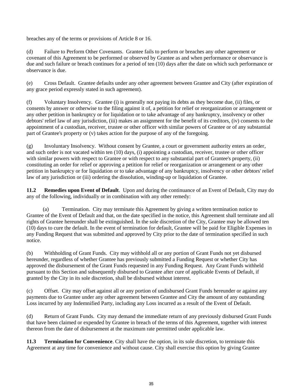breaches any of the terms or provisions of Article 8 or 16.

(d) Failure to Perform Other Covenants. Grantee fails to perform or breaches any other agreement or covenant of this Agreement to be performed or observed by Grantee as and when performance or observance is due and such failure or breach continues for a period of ten (10) days after the date on which such performance or observance is due.

(e) Cross Default. Grantee defaults under any other agreement between Grantee and City (after expiration of any grace period expressly stated in such agreement).

(f) Voluntary Insolvency. Grantee (i) is generally not paying its debts as they become due, (ii) files, or consents by answer or otherwise to the filing against it of, a petition for relief or reorganization or arrangement or any other petition in bankruptcy or for liquidation or to take advantage of any bankruptcy, insolvency or other debtors' relief law of any jurisdiction, (iii) makes an assignment for the benefit of its creditors, (iv) consents to the appointment of a custodian, receiver, trustee or other officer with similar powers of Grantee or of any substantial part of Grantee's property or (v) takes action for the purpose of any of the foregoing.

(g) Involuntary Insolvency. Without consent by Grantee, a court or government authority enters an order, and such order is not vacated within ten (10) days, (i) appointing a custodian, receiver, trustee or other officer with similar powers with respect to Grantee or with respect to any substantial part of Grantee's property, (ii) constituting an order for relief or approving a petition for relief or reorganization or arrangement or any other petition in bankruptcy or for liquidation or to take advantage of any bankruptcy, insolvency or other debtors' relief law of any jurisdiction or (iii) ordering the dissolution, winding-up or liquidation of Grantee.

**11.2 Remedies upon Event of Default**. Upon and during the continuance of an Event of Default, City may do any of the following, individually or in combination with any other remedy:

 (a) Termination. City may terminate this Agreement by giving a written termination notice to Grantee of the Event of Default and that, on the date specified in the notice, this Agreement shall terminate and all rights of Grantee hereunder shall be extinguished. In the sole discretion of the City, Grantee may be allowed ten (10) days to cure the default. In the event of termination for default, Grantee will be paid for Eligible Expenses in any Funding Request that was submitted and approved by City prior to the date of termination specified in such notice.

(b) Withholding of Grant Funds. City may withhold all or any portion of Grant Funds not yet disbursed hereunder, regardless of whether Grantee has previously submitted a Funding Request or whether City has approved the disbursement of the Grant Funds requested in any Funding Request. Any Grant Funds withheld pursuant to this Section and subsequently disbursed to Grantee after cure of applicable Events of Default, if granted by the City in its sole discretion, shall be disbursed without interest.

(c) Offset. City may offset against all or any portion of undisbursed Grant Funds hereunder or against any payments due to Grantee under any other agreement between Grantee and City the amount of any outstanding Loss incurred by any Indemnified Party, including any Loss incurred as a result of the Event of Default.

(d) Return of Grant Funds. City may demand the immediate return of any previously disbursed Grant Funds that have been claimed or expended by Grantee in breach of the terms of this Agreement, together with interest thereon from the date of disbursement at the maximum rate permitted under applicable law.

**11.3 Termination for Convenience**. City shall have the option, in its sole discretion, to terminate this Agreement at any time for convenience and without cause. City shall exercise this option by giving Grantee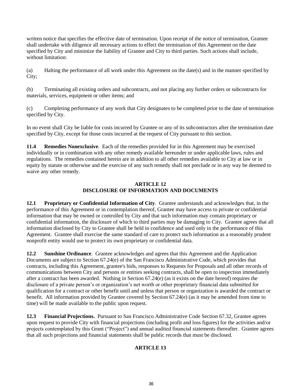written notice that specifies the effective date of termination. Upon receipt of the notice of termination, Grantee shall undertake with diligence all necessary actions to effect the termination of this Agreement on the date specified by City and minimize the liability of Grantee and City to third parties. Such actions shall include, without limitation:

(a) Halting the performance of all work under this Agreement on the date(s) and in the manner specified by City;

(b) Terminating all existing orders and subcontracts, and not placing any further orders or subcontracts for materials, services, equipment or other items; and

(c) Completing performance of any work that City designates to be completed prior to the date of termination specified by City.

In no event shall City be liable for costs incurred by Grantee or any of its subcontractors after the termination date specified by City, except for those costs incurred at the request of City pursuant to this section.

**11.4 Remedies Nonexclusive**. Each of the remedies provided for in this Agreement may be exercised individually or in combination with any other remedy available hereunder or under applicable laws, rules and regulations. The remedies contained herein are in addition to all other remedies available to City at law or in equity by statute or otherwise and the exercise of any such remedy shall not preclude or in any way be deemed to waive any other remedy.

#### **ARTICLE 12 DISCLOSURE OF INFORMATION AND DOCUMENTS**

**12.1 Proprietary or Confidential Information of City**. Grantee understands and acknowledges that, in the performance of this Agreement or in contemplation thereof, Grantee may have access to private or confidential information that may be owned or controlled by City and that such information may contain proprietary or confidential information, the disclosure of which to third parties may be damaging to City. Grantee agrees that all information disclosed by City to Grantee shall be held in confidence and used only in the performance of this Agreement. Grantee shall exercise the same standard of care to protect such information as a reasonably prudent nonprofit entity would use to protect its own proprietary or confidential data.

**12.2 Sunshine Ordinance**. Grantee acknowledges and agrees that this Agreement and the Application Documents are subject to Section 67.24(e) of the San Francisco Administrative Code, which provides that contracts, including this Agreement, grantee's bids, responses to Requests for Proposals and all other records of communications between City and persons or entities seeking contracts, shall be open to inspection immediately after a contract has been awarded. Nothing in Section 67.24(e) (as it exists on the date hereof) requires the disclosure of a private person's or organization's net worth or other proprietary financial data submitted for qualification for a contract or other benefit until and unless that person or organization is awarded the contract or benefit. All information provided by Grantee covered by Section 67.24(e) (as it may be amended from time to time) will be made available to the public upon request.

**12.3 Financial Projections.** Pursuant to San Francisco Administrative Code Section 67.32, Grantee agrees upon request to provide City with financial projections (including profit and loss figures) for the activities and/or projects contemplated by this Grant ("Project") and annual audited financial statements thereafter. Grantee agrees that all such projections and financial statements shall be public records that must be disclosed.

### **ARTICLE 13**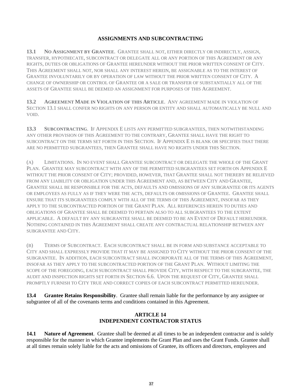#### **ASSIGNMENTS AND SUBCONTRACTING**

**13.1 NO ASSIGNMENT BY GRANTEE**. GRANTEE SHALL NOT, EITHER DIRECTLY OR INDIRECTLY, ASSIGN, TRANSFER, HYPOTHECATE, SUBCONTRACT OR DELEGATE ALL OR ANY PORTION OF THIS AGREEMENT OR ANY RIGHTS, DUTIES OR OBLIGATIONS OF GRANTEE HEREUNDER WITHOUT THE PRIOR WRITTEN CONSENT OF CITY. THIS AGREEMENT SHALL NOT, NOR SHALL ANY INTEREST HEREIN, BE ASSIGNABLE AS TO THE INTEREST OF GRANTEE INVOLUNTARILY OR BY OPERATION OF LAW WITHOUT THE PRIOR WRITTEN CONSENT OF CITY. A CHANGE OF OWNERSHIP OR CONTROL OF GRANTEE OR A SALE OR TRANSFER OF SUBSTANTIALLY ALL OF THE ASSETS OF GRANTEE SHALL BE DEEMED AN ASSIGNMENT FOR PURPOSES OF THIS AGREEMENT.

**13.2 AGREEMENT MADE IN VIOLATION OF THIS ARTICLE**. ANY AGREEMENT MADE IN VIOLATION OF SECTION 13.1 SHALL CONFER NO RIGHTS ON ANY PERSON OR ENTITY AND SHALL AUTOMATICALLY BE NULL AND VOID.

**13.3 SUBCONTRACTING**. IF APPENDIX E LISTS ANY PERMITTED SUBGRANTEES, THEN NOTWITHSTANDING ANY OTHER PROVISION OF THIS AGREEMENT TO THE CONTRARY, GRANTEE SHALL HAVE THE RIGHT TO SUBCONTRACT ON THE TERMS SET FORTH IN THIS SECTION. IF APPENDIX E IS BLANK OR SPECIFIES THAT THERE ARE NO PERMITTED SUBGRANTEES, THEN GRANTEE SHALL HAVE NO RIGHTS UNDER THIS SECTION.

(A) LIMITATIONS. IN NO EVENT SHALL GRANTEE SUBCONTRACT OR DELEGATE THE WHOLE OF THE GRANT PLAN. GRANTEE MAY SUBCONTRACT WITH ANY OF THE PERMITTED SUBGRANTEES SET FORTH ON APPENDIX E WITHOUT THE PRIOR CONSENT OF CITY; PROVIDED, HOWEVER, THAT GRANTEE SHALL NOT THEREBY BE RELIEVED FROM ANY LIABILITY OR OBLIGATION UNDER THIS AGREEMENT AND, AS BETWEEN CITY AND GRANTEE, GRANTEE SHALL BE RESPONSIBLE FOR THE ACTS, DEFAULTS AND OMISSIONS OF ANY SUBGRANTEE OR ITS AGENTS OR EMPLOYEES AS FULLY AS IF THEY WERE THE ACTS, DEFAULTS OR OMISSIONS OF GRANTEE. GRANTEE SHALL ENSURE THAT ITS SUBGRANTEES COMPLY WITH ALL OF THE TERMS OF THIS AGREEMENT, INSOFAR AS THEY APPLY TO THE SUBCONTRACTED PORTION OF THE GRANT PLAN. ALL REFERENCES HEREIN TO DUTIES AND OBLIGATIONS OF GRANTEE SHALL BE DEEMED TO PERTAIN ALSO TO ALL SUBGRANTEES TO THE EXTENT APPLICABLE. A DEFAULT BY ANY SUBGRANTEE SHALL BE DEEMED TO BE AN EVENT OF DEFAULT HEREUNDER. NOTHING CONTAINED IN THIS AGREEMENT SHALL CREATE ANY CONTRACTUAL RELATIONSHIP BETWEEN ANY SUBGRANTEE AND CITY.

(B) TERMS OF SUBCONTRACT. EACH SUBCONTRACT SHALL BE IN FORM AND SUBSTANCE ACCEPTABLE TO CITY AND SHALL EXPRESSLY PROVIDE THAT IT MAY BE ASSIGNED TO CITY WITHOUT THE PRIOR CONSENT OF THE SUBGRANTEE. IN ADDITION, EACH SUBCONTRACT SHALL INCORPORATE ALL OF THE TERMS OF THIS AGREEMENT, INSOFAR AS THEY APPLY TO THE SUBCONTRACTED PORTION OF THE GRANT PLAN. WITHOUT LIMITING THE SCOPE OF THE FOREGOING, EACH SUBCONTRACT SHALL PROVIDE CITY, WITH RESPECT TO THE SUBGRANTEE, THE AUDIT AND INSPECTION RIGHTS SET FORTH IN SECTION 6.6. UPON THE REQUEST OF CITY, GRANTEE SHALL PROMPTLY FURNISH TO CITY TRUE AND CORRECT COPIES OF EACH SUBCONTRACT PERMITTED HEREUNDER.

**13.4 Grantee Retains Responsibility**. Grantee shall remain liable for the performance by any assignee or subgrantee of all of the covenants terms and conditions contained in this Agreement.

#### **ARTICLE 14 INDEPENDENT CONTRACTOR STATUS**

**14.1 Nature of Agreement**. Grantee shall be deemed at all times to be an independent contractor and is solely responsible for the manner in which Grantee implements the Grant Plan and uses the Grant Funds. Grantee shall at all times remain solely liable for the acts and omissions of Grantee, its officers and directors, employees and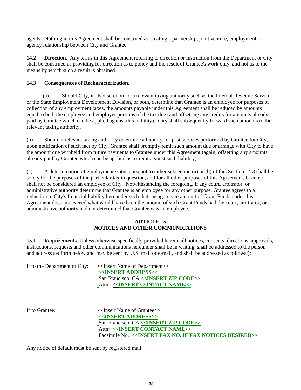agents. Nothing in this Agreement shall be construed as creating a partnership, joint venture, employment or agency relationship between City and Grantee.

**14.2 Direction**. Any terms in this Agreement referring to direction or instruction from the Department or City shall be construed as providing for direction as to policy and the result of Grantee's work only, and not as to the means by which such a result is obtained.

#### **14.3 Consequences of Recharacterization**.

 (a) Should City, in its discretion, or a relevant taxing authority such as the Internal Revenue Service or the State Employment Development Division, or both, determine that Grantee is an employee for purposes of collection of any employment taxes, the amounts payable under this Agreement shall be reduced by amounts equal to both the employee and employer portions of the tax due (and offsetting any credits for amounts already paid by Grantee which can be applied against this liability). City shall subsequently forward such amounts to the relevant taxing authority.

(b) Should a relevant taxing authority determine a liability for past services performed by Grantee for City, upon notification of such fact by City, Grantee shall promptly remit such amount due or arrange with City to have the amount due withheld from future payments to Grantee under this Agreement (again, offsetting any amounts already paid by Grantee which can be applied as a credit against such liability).

(c) A determination of employment status pursuant to either subsection (a) or (b) of this Section 14.3 shall be solely for the purposes of the particular tax in question, and for all other purposes of this Agreement, Grantee shall not be considered an employee of City. Notwithstanding the foregoing, if any court, arbitrator, or administrative authority determine that Grantee is an employee for any other purpose, Grantee agrees to a reduction in City's financial liability hereunder such that the aggregate amount of Grant Funds under this Agreement does not exceed what would have been the amount of such Grant Funds had the court, arbitrator, or administrative authority had not determined that Grantee was an employee.

#### **ARTICLE 15 NOTICES AND OTHER COMMUNICATIONS**

**15.1 Requirements**. Unless otherwise specifically provided herein, all notices, consents, directions, approvals, instructions, requests and other communications hereunder shall be in writing, shall be addressed to the person and address set forth below and may be sent by U.S. mail or e-mail, and shall be addressed as follows:):

| If to the Department or City: | < <insert department="" name="" of="">&gt;</insert> |
|-------------------------------|-----------------------------------------------------|
|                               | < <insert address="">&gt;</insert>                  |
|                               | San Francisco, CA << <b>INSERT ZIP CODE</b> >>      |
|                               | Attn: < <insert contact="" name="">&gt;</insert>    |
|                               |                                                     |
|                               | $\sim$                                              |

If to Grantee:  $\langle$ Insert Name of Grantee>> **<<INSERT ADDRESS>>** San Francisco, CA **<<INSERT ZIP CODE>>** Attn: **<<INSERT CONTACT NAME>>** Facsimile No. <<**INSERT FAX NO. IF FAX NOTICES DESIRED>>** 

Any notice of default must be sent by registered mail.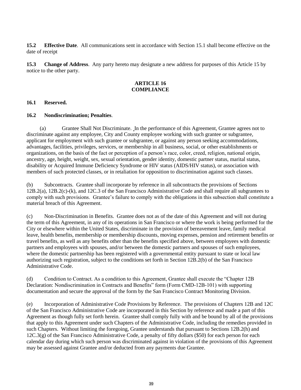**15.2 Effective Date**. All communications sent in accordance with Section 15.1 shall become effective on the date of receipt

**15.3 Change of Address**. Any party hereto may designate a new address for purposes of this Article 15 by notice to the other party.

#### **ARTICLE 16 COMPLIANCE**

#### **16.1 Reserved.**

#### **16.2 Nondiscrimination; Penalties**.

(a) Grantee Shall Not Discriminate. In the performance of this Agreement, Grantee agrees not to discriminate against any employee, City and County employee working with such grantee or subgrantee, applicant for employment with such grantee or subgrantee, or against any person seeking accommodations, advantages, facilities, privileges, services, or membership in all business, social, or other establishments or organizations, on the basis of the fact or perception of a person's race, color, creed, religion, national origin, ancestry, age, height, weight, sex, sexual orientation, gender identity, domestic partner status, marital status, disability or Acquired Immune Deficiency Syndrome or HIV status (AIDS/HIV status), or association with members of such protected classes, or in retaliation for opposition to discrimination against such classes.

(b) Subcontracts. Grantee shall incorporate by reference in all subcontracts the provisions of Sections 12B.2(a), 12B.2(c)-(k), and 12C.3 of the San Francisco Administrative Code and shall require all subgrantees to comply with such provisions. Grantee's failure to comply with the obligations in this subsection shall constitute a material breach of this Agreement.

(c) Non-Discrimination in Benefits. Grantee does not as of the date of this Agreement and will not during the term of this Agreement, in any of its operations in San Francisco or where the work is being performed for the City or elsewhere within the United States, discriminate in the provision of bereavement leave, family medical leave, health benefits, membership or membership discounts, moving expenses, pension and retirement benefits or travel benefits, as well as any benefits other than the benefits specified above, between employees with domestic partners and employees with spouses, and/or between the domestic partners and spouses of such employees, where the domestic partnership has been registered with a governmental entity pursuant to state or local law authorizing such registration, subject to the conditions set forth in Section 12B.2(b) of the San Francisco Administrative Code.

(d) Condition to Contract. As a condition to this Agreement, Grantee shall execute the "Chapter 12B Declaration: Nondiscrimination in Contracts and Benefits" form (Form CMD-12B-101) with supporting documentation and secure the approval of the form by the San Francisco Contract Monitoring Division.

(e) Incorporation of Administrative Code Provisions by Reference. The provisions of Chapters 12B and 12C of the San Francisco Administrative Code are incorporated in this Section by reference and made a part of this Agreement as though fully set forth herein. Grantee shall comply fully with and be bound by all of the provisions that apply to this Agreement under such Chapters of the Administrative Code, including the remedies provided in such Chapters. Without limiting the foregoing, Grantee understands that pursuant to Sections 12B.2(h) and 12C.3(g) of the San Francisco Administrative Code, a penalty of fifty dollars (\$50) for each person for each calendar day during which such person was discriminated against in violation of the provisions of this Agreement may be assessed against Grantee and/or deducted from any payments due Grantee.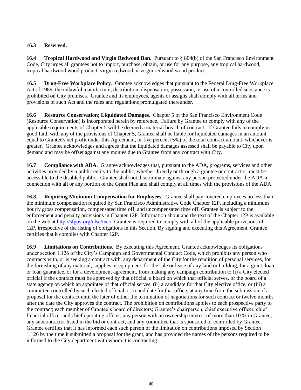#### **16.3 Reserved.**

**16.4 Tropical Hardwood and Virgin Redwood Ban.** Pursuant to § 804(b) of the San Francisco Environment Code, City urges all grantees not to import, purchase, obtain, or use for any purpose, any tropical hardwood, tropical hardwood wood product, virgin redwood or virgin redwood wood product.

**16.5 Drug-Free Workplace Policy**. Grantee acknowledges that pursuant to the Federal Drug-Free Workplace Act of 1989, the unlawful manufacture, distribution, dispensation, possession, or use of a controlled substance is prohibited on City premises. Grantee and its employees, agents or assigns shall comply with all terms and provisions of such Act and the rules and regulations promulgated thereunder.

**16.6 Resource Conservation; Liquidated Damages**. Chapter 5 of the San Francisco Environment Code (Resource Conservation) is incorporated herein by reference. Failure by Grantee to comply with any of the applicable requirements of Chapter 5 will be deemed a material breach of contract. If Grantee fails to comply in good faith with any of the provisions of Chapter 5, Grantee shall be liable for liquidated damages in an amount equal to Grantee's net profit under this Agreement, or five percent (5%) of the total contract amount, whichever is greater. Grantee acknowledges and agrees that the liquidated damages assessed shall be payable to City upon demand and may be offset against any monies due to Grantee from any contract with City.

**16.7 Compliance with ADA**. Grantee acknowledges that, pursuant to the ADA, programs, services and other activities provided by a public entity to the public, whether directly or through a grantee or contractor, must be accessible to the disabled public. Grantee shall not discriminate against any person protected under the ADA in connection with all or any portion of the Grant Plan and shall comply at all times with the provisions of the ADA.

**16.8. Requiring Minimum Compensation for Employees**.Grantee shall pay covered employees no less than the minimum compensation required by San Francisco Administrative Code Chapter 12P, including a minimum hourly gross compensation, compensated time off, and uncompensated time off. Grantee is subject to the enforcement and penalty provisions in Chapter 12P. Information about and the text of the Chapter 12P is available on the web at [http://sfgov.org/olse/mco.](http://sfgov.org/olse/mco) Grantee is required to comply with all of the applicable provisions of 12P, irrespective of the listing of obligations in this Section. By signing and executing this Agreement, Grantee certifies that it complies with Chapter 12P.

**16.9 Limitations on Contributions**. By executing this Agreement, Grantee acknowledges its obligations under section 1.126 of the City's Campaign and Governmental Conduct Code, which prohibits any person who contracts with, or is seeking a contract with, any department of the City for the rendition of personal services, for the furnishing of any material, supplies or equipment, for the sale or lease of any land or building, for a grant, loan or loan guarantee, or for a development agreement, from making any campaign contribution to (i) a City elected official if the contract must be approved by that official, a board on which that official serves, or the board of a state agency on which an appointee of that official serves, (ii) a candidate for that City elective office, or (iii) a committee controlled by such elected official or a candidate for that office, at any time from the submission of a proposal for the contract until the later of either the termination of negotiations for such contract or twelve months after the date the City approves the contract. The prohibition on contributions applies to each prospective party to the contract; each member of Grantee's board of directors; Grantee's chairperson, chief executive officer, chief financial officer and chief operating officer; any person with an ownership interest of more than 10 % in Grantee; any subcontractor listed in the bid or contract; and any committee that is sponsored or controlled by Grantee. Grantee certifies that it has informed each such person of the limitation on contributions imposed by Section 1.126 by the time it submitted a proposal for the grant, and has provided the names of the persons required to be informed to the City department with whom it is contracting.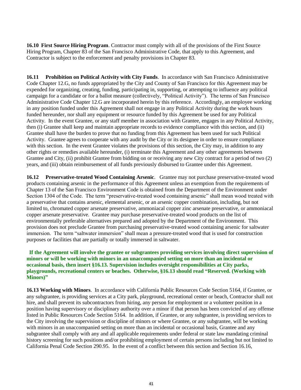**16.10 First Source Hiring Program**. Contractor must comply with all of the provisions of the First Source Hiring Program, Chapter 83 of the San Francisco Administrative Code, that apply to this Agreement, and Contractor is subject to the enforcement and penalty provisions in Chapter 83.

**16.11 Prohibition on Political Activity with City Funds**. In accordance with San Francisco Administrative Code Chapter 12.G, no funds appropriated by the City and County of San Francisco for this Agreement may be expended for organizing, creating, funding, participating in, supporting, or attempting to influence any political campaign for a candidate or for a ballot measure (collectively, "Political Activity"). The terms of San Francisco Administrative Code Chapter 12.G are incorporated herein by this reference. Accordingly, an employee working in any position funded under this Agreement shall not engage in any Political Activity during the work hours funded hereunder, nor shall any equipment or resource funded by this Agreement be used for any Political Activity. In the event Grantee, or any staff member in association with Grantee, engages in any Political Activity, then (i) Grantee shall keep and maintain appropriate records to evidence compliance with this section, and (ii) Grantee shall have the burden to prove that no funding from this Agreement has been used for such Political Activity. Grantee agrees to cooperate with any audit by the City or its designee in order to ensure compliance with this section. In the event Grantee violates the provisions of this section, the City may, in addition to any other rights or remedies available hereunder, (i) terminate this Agreement and any other agreements between Grantee and City, (ii) prohibit Grantee from bidding on or receiving any new City contract for a period of two (2) years, and (iii) obtain reimbursement of all funds previously disbursed to Grantee under this Agreement.

**16.12 Preservative-treated Wood Containing Arsenic**. Grantee may not purchase preservative-treated wood products containing arsenic in the performance of this Agreement unless an exemption from the requirements of Chapter 13 of the San Francisco Environment Code is obtained from the Department of the Environment under Section 1304 of the Code. The term "preservative-treated wood containing arsenic" shall mean wood treated with a preservative that contains arsenic, elemental arsenic, or an arsenic copper combination, including, but not limited to, chromated copper arsenate preservative, ammoniacal copper zinc arsenate preservative, or ammoniacal copper arsenate preservative. Grantee may purchase preservative-treated wood products on the list of environmentally preferable alternatives prepared and adopted by the Department of the Environment. This provision does not preclude Grantee from purchasing preservative-treated wood containing arsenic for saltwater immersion. The term "saltwater immersion" shall mean a pressure-treated wood that is used for construction purposes or facilities that are partially or totally immersed in saltwater.

#### **If the Agreement will involve the grantee or subgrantees providing services involving direct supervision of minors or will be working with minors in an unaccompanied setting on more than an incidental or occasional basis, then insert §16.13. Supervision includes oversight responsibilities at City parks, playgrounds, recreational centers or beaches. Otherwise, §16.13 should read "Reserved. (Working with Minors)"**

**16.13 Working with Minors**. In accordance with California Public Resources Code Section 5164, if Grantee, or any subgrantee, is providing services at a City park, playground, recreational center or beach, Contractor shall not hire, and shall prevent its subcontractors from hiring, any person for employment or a volunteer position in a position having supervisory or disciplinary authority over a minor if that person has been convicted of any offense listed in Public Resources Code Section 5164. In addition, if Grantee, or any subgrantee, is providing services to the City involving the supervision or discipline of minors or where Grantee, or any subgrantee, will be working with minors in an unaccompanied setting on more than an incidental or occasional basis, Grantee and any subgrantee shall comply with any and all applicable requirements under federal or state law mandating criminal history screening for such positions and/or prohibiting employment of certain persons including but not limited to California Penal Code Section 290.95. In the event of a conflict between this section and Section 16.16,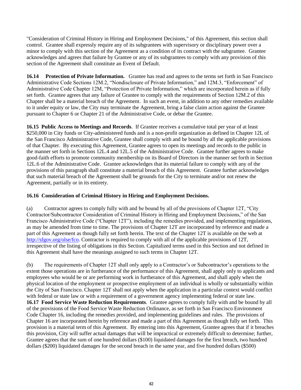"Consideration of Criminal History in Hiring and Employment Decisions," of this Agreement, this section shall control. Grantee shall expressly require any of its subgrantees with supervisory or disciplinary power over a minor to comply with this section of the Agreement as a condition of its contract with the subgrantee. Grantee acknowledges and agrees that failure by Grantee or any of its subgrantees to comply with any provision of this section of the Agreement shall constitute an Event of Default.

**16.14 Protection of Private Information.** Grantee has read and agrees to the terms set forth in San Francisco Administrative Code Sections 12M.2, "Nondisclosure of Private Information," and 12M.3, "Enforcement" of Administrative Code Chapter 12M, "Protection of Private Information," which are incorporated herein as if fully set forth. Grantee agrees that any failure of Grantee to comply with the requirements of Section 12M.2 of this Chapter shall be a material breach of the Agreement. In such an event, in addition to any other remedies available to it under equity or law, the City may terminate the Agreement, bring a false claim action against the Grantee pursuant to Chapter 6 or Chapter 21 of the Administrative Code, or debar the Grantee.

**16.15 Public Access to Meetings and Records**. If Grantee receives a cumulative total per year of at least \$250,000 in City funds or City-administered funds and is a non-profit organization as defined in Chapter 12L of the San Francisco Administrative Code, Grantee shall comply with and be bound by all the applicable provisions of that Chapter. By executing this Agreement, Grantee agrees to open its meetings and records to the public in the manner set forth in Sections 12L.4 and 12L.5 of the Administrative Code. Grantee further agrees to make good-faith efforts to promote community membership on its Board of Directors in the manner set forth in Section 12L.6 of the Administrative Code. Grantee acknowledges that its material failure to comply with any of the provisions of this paragraph shall constitute a material breach of this Agreement. Grantee further acknowledges that such material breach of the Agreement shall be grounds for the City to terminate and/or not renew the Agreement, partially or in its entirety.

#### **16.16 Consideration of Criminal History in Hiring and Employment Decisions.**

(a) Contractor agrees to comply fully with and be bound by all of the provisions of Chapter 12T, "City Contractor/Subcontractor Consideration of Criminal History in Hiring and Employment Decisions," of the San Francisco Administrative Code ("Chapter 12T"), including the remedies provided, and implementing regulations, as may be amended from time to time. The provisions of Chapter 12T are incorporated by reference and made a part of this Agreement as though fully set forth herein. The text of the Chapter 12T is available on the web at [http://sfgov.org/olse/fco.](http://sfgov.org/olse/fco) Contractor is required to comply with all of the applicable provisions of 12T, irrespective of the listing of obligations in this Section. Capitalized terms used in this Section and not defined in this Agreement shall have the meanings assigned to such terms in Chapter 12T.

(b) The requirements of Chapter 12T shall only apply to a Contractor's or Subcontractor's operations to the extent those operations are in furtherance of the performance of this Agreement, shall apply only to applicants and employees who would be or are performing work in furtherance of this Agreement, and shall apply when the physical location of the employment or prospective employment of an individual is wholly or substantially within the City of San Francisco. Chapter 12T shall not apply when the application in a particular context would conflict with federal or state law or with a requirement of a government agency implementing federal or state law. **16.17 Food Service Waste Reduction Requirements**. Grantee agrees to comply fully with and be bound by all of the provisions of the Food Service Waste Reduction Ordinance, as set forth in San Francisco Environment Code Chapter 16, including the remedies provided, and implementing guidelines and rules. The provisions of Chapter 16 are incorporated herein by reference and made a part of this Agreement as though fully set forth. This provision is a material term of this Agreement. By entering into this Agreement, Grantee agrees that if it breaches this provision, City will suffer actual damages that will be impractical or extremely difficult to determine; further, Grantee agrees that the sum of one hundred dollars (\$100) liquidated damages for the first breach, two hundred dollars (\$200) liquidated damages for the second breach in the same year, and five hundred dollars (\$500)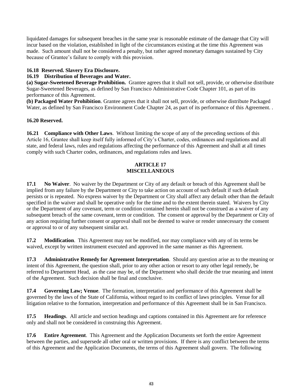liquidated damages for subsequent breaches in the same year is reasonable estimate of the damage that City will incur based on the violation, established in light of the circumstances existing at the time this Agreement was made. Such amount shall not be considered a penalty, but rather agreed monetary damages sustained by City because of Grantee's failure to comply with this provision.

#### **16.18 Reserved. Slavery Era Disclosure.**

#### **16.19 Distribution of Beverages and Water.**

**(a) Sugar-Sweetened Beverage Prohibition.** Grantee agrees that it shall not sell, provide, or otherwise distribute Sugar-Sweetened Beverages, as defined by San Francisco Administrative Code Chapter 101, as part of its performance of this Agreement.

**(b) Packaged Water Prohibition**. Grantee agrees that it shall not sell, provide, or otherwise distribute Packaged Water, as defined by San Francisco Environment Code Chapter 24, as part of its performance of this Agreement.

#### **16.20 Reserved.**

**16.21 Compliance with Other Laws**. Without limiting the scope of any of the preceding sections of this Article 16, Grantee shall keep itself fully informed of City's Charter, codes, ordinances and regulations and all state, and federal laws, rules and regulations affecting the performance of this Agreement and shall at all times comply with such Charter codes, ordinances, and regulations rules and laws.

#### **ARTICLE 17 MISCELLANEOUS**

**17.1 No Waiver**. No waiver by the Department or City of any default or breach of this Agreement shall be implied from any failure by the Department or City to take action on account of such default if such default persists or is repeated. No express waiver by the Department or City shall affect any default other than the default specified in the waiver and shall be operative only for the time and to the extent therein stated. Waivers by City or the Department of any covenant, term or condition contained herein shall not be construed as a waiver of any subsequent breach of the same covenant, term or condition. The consent or approval by the Department or City of any action requiring further consent or approval shall not be deemed to waive or render unnecessary the consent or approval to or of any subsequent similar act.

**17.2 Modification**. This Agreement may not be modified, nor may compliance with any of its terms be waived, except by written instrument executed and approved in the same manner as this Agreement.

**17.3 Administrative Remedy for Agreement Interpretation**. Should any question arise as to the meaning or intent of this Agreement, the question shall, prior to any other action or resort to any other legal remedy, be referred to Department Head, as the case may be, of the Department who shall decide the true meaning and intent of the Agreement. Such decision shall be final and conclusive.

**17.4 Governing Law; Venue**. The formation, interpretation and performance of this Agreement shall be governed by the laws of the State of California, without regard to its conflict of laws principles. Venue for all litigation relative to the formation, interpretation and performance of this Agreement shall be in San Francisco.

**17.5 Headings**. All article and section headings and captions contained in this Agreement are for reference only and shall not be considered in construing this Agreement.

**17.6 Entire Agreement**. This Agreement and the Application Documents set forth the entire Agreement between the parties, and supersede all other oral or written provisions. If there is any conflict between the terms of this Agreement and the Application Documents, the terms of this Agreement shall govern. The following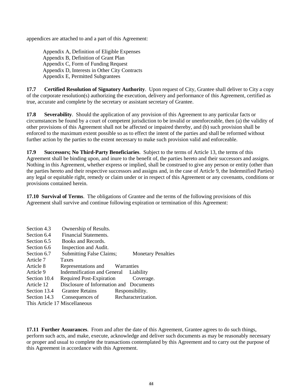appendices are attached to and a part of this Agreement:

 Appendix A, Definition of Eligible Expenses Appendix B, Definition of Grant Plan Appendix C, Form of Funding Request Appendix D, Interests in Other City Contracts Appendix E, Permitted Subgrantees

**17.7 Certified Resolution of Signatory Authority**. Upon request of City, Grantee shall deliver to City a copy of the corporate resolution(s) authorizing the execution, delivery and performance of this Agreement, certified as true, accurate and complete by the secretary or assistant secretary of Grantee.

**17.8 Severability**. Should the application of any provision of this Agreement to any particular facts or circumstances be found by a court of competent jurisdiction to be invalid or unenforceable, then (a) the validity of other provisions of this Agreement shall not be affected or impaired thereby, and (b) such provision shall be enforced to the maximum extent possible so as to effect the intent of the parties and shall be reformed without further action by the parties to the extent necessary to make such provision valid and enforceable.

**17.9 Successors; No Third-Party Beneficiaries**. Subject to the terms of Article 13, the terms of this Agreement shall be binding upon, and inure to the benefit of, the parties hereto and their successors and assigns. Nothing in this Agreement, whether express or implied, shall be construed to give any person or entity (other than the parties hereto and their respective successors and assigns and, in the case of Article 9, the Indemnified Parties) any legal or equitable right, remedy or claim under or in respect of this Agreement or any covenants, conditions or provisions contained herein.

**17.10 Survival of Terms**. The obligations of Grantee and the terms of the following provisions of this Agreement shall survive and continue following expiration or termination of this Agreement:

| Section 4.3  | Ownership of Results.                   |                           |
|--------------|-----------------------------------------|---------------------------|
| Section 6.4  | <b>Financial Statements.</b>            |                           |
| Section 6.5  | Books and Records.                      |                           |
| Section 6.6  | Inspection and Audit.                   |                           |
| Section 6.7  | <b>Submitting False Claims;</b>         | <b>Monetary Penalties</b> |
| Article 7    | <b>Taxes</b>                            |                           |
| Article 8    | Representations and Warranties          |                           |
| Article 9    | Indemnification and General Liability   |                           |
| Section 10.4 | Required Post-Expiration Coverage.      |                           |
| Article 12   | Disclosure of Information and Documents |                           |
| Section 13.4 | <b>Grantee Retains</b>                  | Responsibility.           |
| Section 14.3 | Consequences of                         | Recharacterization.       |
|              | This Article 17 Miscellaneous           |                           |

**17.11 Further Assurances**. From and after the date of this Agreement, Grantee agrees to do such things, perform such acts, and make, execute, acknowledge and deliver such documents as may be reasonably necessary or proper and usual to complete the transactions contemplated by this Agreement and to carry out the purpose of this Agreement in accordance with this Agreement.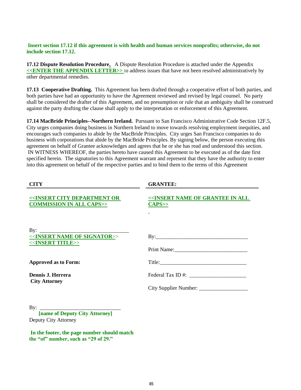#### **Insert section 17.12 if this agreement is with health and human services nonprofits; otherwise, do not include section 17.12.**

**17.12 Dispute Resolution Procedure.** A Dispute Resolution Procedure is attached under the Appendix **<<ENTER THE APPENDIX LETTER>>** to address issues that have not been resolved administratively by other departmental remedies.

**17.13 Cooperative Drafting.** This Agreement has been drafted through a cooperative effort of both parties, and both parties have had an opportunity to have the Agreement reviewed and revised by legal counsel. No party shall be considered the drafter of this Agreement, and no presumption or rule that an ambiguity shall be construed against the party drafting the clause shall apply to the interpretation or enforcement of this Agreement.

**17.14 MacBride Principles--Northern Ireland.** Pursuant to San Francisco Administrative Code Section 12F.5, City urges companies doing business in Northern Ireland to move towards resolving employment inequities, and encourages such companies to abide by the MacBride Principles. City urges San Francisco companies to do business with corporations that abide by the MacBride Principles. By signing below, the person executing this agreement on behalf of Grantee acknowledges and agrees that he or she has read and understood this section. IN WITNESS WHEREOF, the parties hereto have caused this Agreement to be executed as of the date first specified herein. The signatories to this Agreement warrant and represent that they have the authority to enter into this agreement on behalf of the respective parties and to bind them to the terms of this Agreement

| <b>CITY</b>                                                                              | <b>GRANTEE:</b>                                                                       |
|------------------------------------------------------------------------------------------|---------------------------------------------------------------------------------------|
| < <insert city="" department="" or<br=""><b>COMMISSION IN ALL CAPS&gt;&gt;</b></insert>  | < <insert all<br="" grantee="" in="" name="" of=""><math>CAPS</math>&gt;&gt;</insert> |
| < <insert name="" of="" signator="">&gt;<br/>&lt;<insert title="">&gt;</insert></insert> |                                                                                       |
| <b>Approved as to Form:</b>                                                              |                                                                                       |
| Dennis J. Herrera                                                                        | Federal Tax ID #:                                                                     |
| <b>City Attorney</b>                                                                     |                                                                                       |
| <b>[name of Deputy City Attorney]</b><br>Deputy City Attorney                            |                                                                                       |

**In the footer, the page number should match the "of" number, such as "29 of 29."**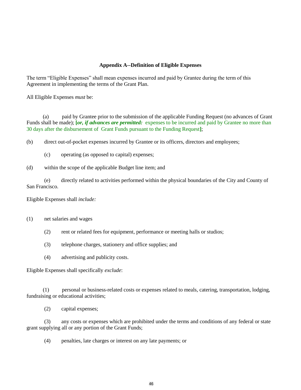#### **Appendix A--Definition of Eligible Expenses**

The term "Eligible Expenses" shall mean expenses incurred and paid by Grantee during the term of this Agreement in implementing the terms of the Grant Plan.

All Eligible Expenses *must* be:

 (a) paid by Grantee prior to the submission of the applicable Funding Request (no advances of Grant Funds shall be made); **[***or, if advances are permitted:*expenses to be incurred and paid by Grantee no more than 30 days after the disbursement of Grant Funds pursuant to the Funding Request**]**;

(b) direct out-of-pocket expenses incurred by Grantee or its officers, directors and employees;

(c) operating (as opposed to capital) expenses;

(d) within the scope of the applicable Budget line item; and

(e) directly related to activities performed within the physical boundaries of the City and County of San Francisco.

Eligible Expenses shall *include:*

(1) net salaries and wages

- (2) rent or related fees for equipment, performance or meeting halls or studios;
- (3) telephone charges, stationery and office supplies; and
- (4) advertising and publicity costs.

Eligible Expenses shall specifically *exclude*:

 (1) personal or business-related costs or expenses related to meals, catering, transportation, lodging, fundraising or educational activities;

(2) capital expenses;

(3) any costs or expenses which are prohibited under the terms and conditions of any federal or state grant supplying all or any portion of the Grant Funds;

(4) penalties, late charges or interest on any late payments; or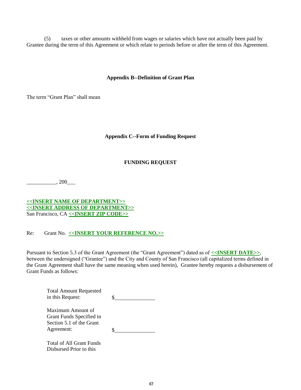(5) taxes or other amounts withheld from wages or salaries which have not actually been paid by Grantee during the term of this Agreement or which relate to periods before or after the term of this Agreement.

#### **Appendix B--Definition of Grant Plan**

The term "Grant Plan" shall mean

#### **Appendix C--Form of Funding Request**

#### **FUNDING REQUEST**

 $, 200$ 

#### **<<INSERT NAME OF DEPARTMENT>> <<INSERT ADDRESS OF DEPARTMENT>>** San Francisco, CA **<<INSERT ZIP CODE>>**

#### Re: Grant No. **<<INSERT YOUR REFERENCE NO.>>**

Pursuant to Section 5.3 of the Grant Agreement (the "Grant Agreement") dated as of  $\leq$ **INSERT DATE>>**, between the undersigned ("Grantee") and the City and County of San Francisco (all capitalized terms defined in the Grant Agreement shall have the same meaning when used herein), Grantee hereby requests a disbursement of Grant Funds as follows:

| <b>Total Amount Requested</b>                 |  |
|-----------------------------------------------|--|
| in this Request:                              |  |
| Maximum Amount of<br>Grant Funds Specified in |  |
| Section 5.1 of the Grant                      |  |
|                                               |  |
| Agreement:                                    |  |
| Total of All Grant Funds                      |  |
| Disbursed Prior to this                       |  |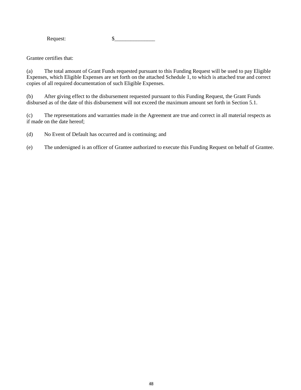Request: \$\_\_\_\_\_\_\_\_\_\_\_\_\_\_\_

Grantee certifies that:

(a) The total amount of Grant Funds requested pursuant to this Funding Request will be used to pay Eligible Expenses, which Eligible Expenses are set forth on the attached Schedule 1, to which is attached true and correct copies of all required documentation of such Eligible Expenses.

(b) After giving effect to the disbursement requested pursuant to this Funding Request, the Grant Funds disbursed as of the date of this disbursement will not exceed the maximum amount set forth in Section 5.1.

(c) The representations and warranties made in the Agreement are true and correct in all material respects as if made on the date hereof;

(d) No Event of Default has occurred and is continuing; and

(e) The undersigned is an officer of Grantee authorized to execute this Funding Request on behalf of Grantee.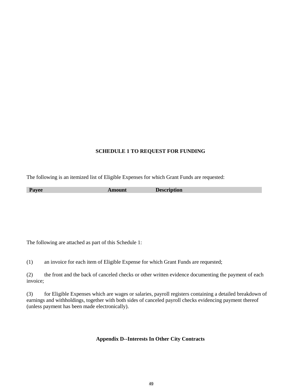#### **SCHEDULE 1 TO REQUEST FOR FUNDING**

The following is an itemized list of Eligible Expenses for which Grant Funds are requested:

| $\mathbf{L}$<br>. . |  |
|---------------------|--|
|                     |  |

The following are attached as part of this Schedule 1:

(1) an invoice for each item of Eligible Expense for which Grant Funds are requested;

(2) the front and the back of canceled checks or other written evidence documenting the payment of each invoice;

(3) for Eligible Expenses which are wages or salaries, payroll registers containing a detailed breakdown of earnings and withholdings, together with both sides of canceled payroll checks evidencing payment thereof (unless payment has been made electronically).

### **Appendix D--Interests In Other City Contracts**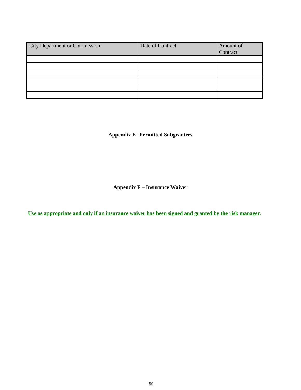| <b>City Department or Commission</b> | Date of Contract | Amount of<br>Contract |
|--------------------------------------|------------------|-----------------------|
|                                      |                  |                       |
|                                      |                  |                       |
|                                      |                  |                       |
|                                      |                  |                       |
|                                      |                  |                       |
|                                      |                  |                       |

**Appendix E--Permitted Subgrantees**

**Appendix F – Insurance Waiver**

**Use as appropriate and only if an insurance waiver has been signed and granted by the risk manager.**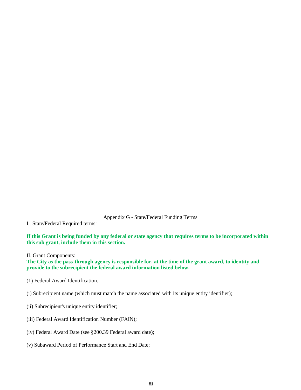Appendix G - State/Federal Funding Terms

I.. State/Federal Required terms:

**If this Grant is being funded by any federal or state agency that requires terms to be incorporated within this sub grant, include them in this section.** 

II. Grant Components:

**The City as the pass-through agency is responsible for, at the time of the grant award, to identity and provide to the subrecipient the federal award information listed below.**

- (1) Federal Award Identification.
- (i) Subrecipient name (which must match the name associated with its unique entity identifier);
- (ii) Subrecipient's unique entity identifier;
- (iii) Federal Award Identification Number (FAIN);
- (iv) Federal Award Date (see §200.39 Federal award date);
- (v) Subaward Period of Performance Start and End Date;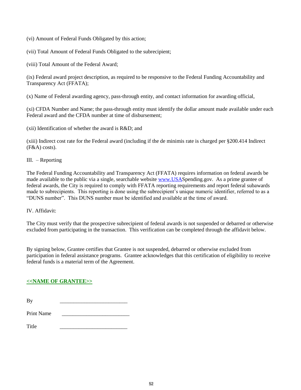- (vi) Amount of Federal Funds Obligated by this action;
- (vii) Total Amount of Federal Funds Obligated to the subrecipient;

(viii) Total Amount of the Federal Award;

(ix) Federal award project description, as required to be responsive to the Federal Funding Accountability and Transparency Act (FFATA);

(x) Name of Federal awarding agency, pass-through entity, and contact information for awarding official,

(xi) CFDA Number and Name; the pass-through entity must identify the dollar amount made available under each Federal award and the CFDA number at time of disbursement;

(xii) Identification of whether the award is R&D; and

(xiii) Indirect cost rate for the Federal award (including if the de minimis rate is charged per §200.414 Indirect  $(F&A) \text{ costs}.$ 

III. – Reporting

The Federal Funding Accountability and Transparency Act (FFATA) requires information on federal awards be made available to the public via a single, searchable website [www.USAS](http://www.usa/)pending.gov. As a prime grantee of federal awards, the City is required to comply with FFATA reporting requirements and report federal subawards made to subrecipients. This reporting is done using the subrecipient's unique numeric identifier, referred to as a "DUNS number". This DUNS number must be identified and available at the time of award.

IV. Affidavit:

The City must verify that the prospective subrecipient of federal awards is not suspended or debarred or otherwise excluded from participating in the transaction. This verification can be completed through the affidavit below.

By signing below, Grantee certifies that Grantee is not suspended, debarred or otherwise excluded from participation in federal assistance programs. Grantee acknowledges that this certification of eligibility to receive federal funds is a material term of the Agreement.

#### **<<NAME OF GRANTEE>>**

Print Name

Title \_\_\_\_\_\_\_\_\_\_\_\_\_\_\_\_\_\_\_\_\_\_\_\_\_